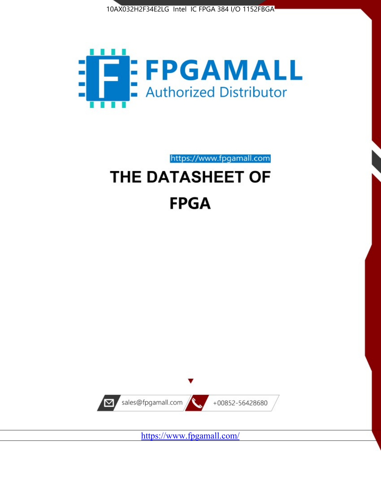



https://www.fpgamall.com THE DATASHEET OF

# **FPGA**



<https://www.fpgamall.com/>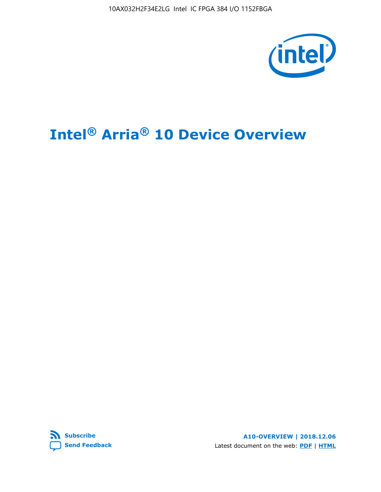10AX032H2F34E2LG Intel IC FPGA 384 I/O 1152FBGA



# **Intel® Arria® 10 Device Overview**



**A10-OVERVIEW | 2018.12.06** Latest document on the web: **[PDF](https://www.intel.com/content/dam/www/programmable/us/en/pdfs/literature/hb/arria-10/a10_overview.pdf)** | **[HTML](https://www.intel.com/content/www/us/en/programmable/documentation/sam1403480274650.html)**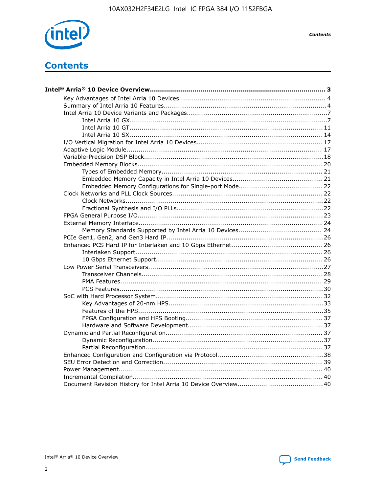

**Contents** 

# **Contents**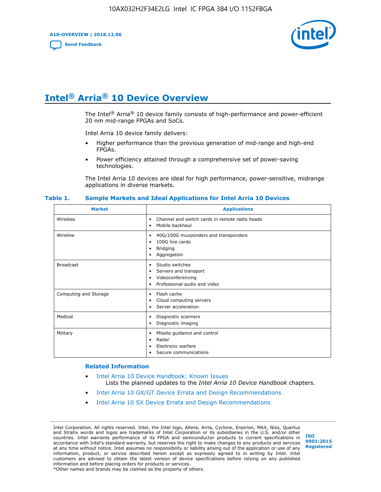**A10-OVERVIEW | 2018.12.06**

**[Send Feedback](mailto:FPGAtechdocfeedback@intel.com?subject=Feedback%20on%20Intel%20Arria%2010%20Device%20Overview%20(A10-OVERVIEW%202018.12.06)&body=We%20appreciate%20your%20feedback.%20In%20your%20comments,%20also%20specify%20the%20page%20number%20or%20paragraph.%20Thank%20you.)**



# **Intel® Arria® 10 Device Overview**

The Intel<sup>®</sup> Arria<sup>®</sup> 10 device family consists of high-performance and power-efficient 20 nm mid-range FPGAs and SoCs.

Intel Arria 10 device family delivers:

- Higher performance than the previous generation of mid-range and high-end FPGAs.
- Power efficiency attained through a comprehensive set of power-saving technologies.

The Intel Arria 10 devices are ideal for high performance, power-sensitive, midrange applications in diverse markets.

| <b>Market</b>         | <b>Applications</b>                                                                                               |
|-----------------------|-------------------------------------------------------------------------------------------------------------------|
| Wireless              | Channel and switch cards in remote radio heads<br>٠<br>Mobile backhaul<br>٠                                       |
| Wireline              | 40G/100G muxponders and transponders<br>٠<br>100G line cards<br>٠<br><b>Bridging</b><br>٠<br>Aggregation<br>٠     |
| <b>Broadcast</b>      | Studio switches<br>٠<br>Servers and transport<br>٠<br>Videoconferencing<br>٠<br>Professional audio and video<br>٠ |
| Computing and Storage | Flash cache<br>٠<br>Cloud computing servers<br>٠<br>Server acceleration<br>٠                                      |
| Medical               | Diagnostic scanners<br>٠<br>Diagnostic imaging<br>٠                                                               |
| Military              | Missile guidance and control<br>٠<br>Radar<br>٠<br>Electronic warfare<br>٠<br>Secure communications<br>٠          |

#### **Table 1. Sample Markets and Ideal Applications for Intel Arria 10 Devices**

#### **Related Information**

- [Intel Arria 10 Device Handbook: Known Issues](http://www.altera.com/support/kdb/solutions/rd07302013_646.html) Lists the planned updates to the *Intel Arria 10 Device Handbook* chapters.
- [Intel Arria 10 GX/GT Device Errata and Design Recommendations](https://www.intel.com/content/www/us/en/programmable/documentation/agz1493851706374.html#yqz1494433888646)
- [Intel Arria 10 SX Device Errata and Design Recommendations](https://www.intel.com/content/www/us/en/programmable/documentation/cru1462832385668.html#cru1462832558642)

Intel Corporation. All rights reserved. Intel, the Intel logo, Altera, Arria, Cyclone, Enpirion, MAX, Nios, Quartus and Stratix words and logos are trademarks of Intel Corporation or its subsidiaries in the U.S. and/or other countries. Intel warrants performance of its FPGA and semiconductor products to current specifications in accordance with Intel's standard warranty, but reserves the right to make changes to any products and services at any time without notice. Intel assumes no responsibility or liability arising out of the application or use of any information, product, or service described herein except as expressly agreed to in writing by Intel. Intel customers are advised to obtain the latest version of device specifications before relying on any published information and before placing orders for products or services. \*Other names and brands may be claimed as the property of others.

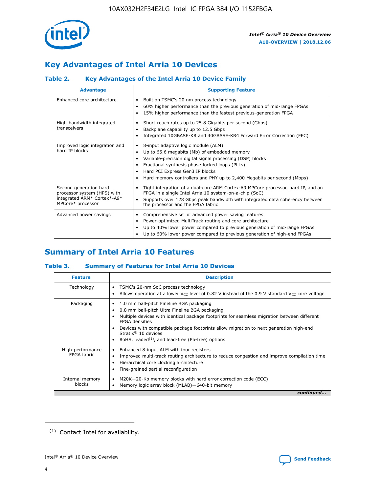

# **Key Advantages of Intel Arria 10 Devices**

## **Table 2. Key Advantages of the Intel Arria 10 Device Family**

| <b>Advantage</b>                                                                                          | <b>Supporting Feature</b>                                                                                                                                                                                                                                                                                                |
|-----------------------------------------------------------------------------------------------------------|--------------------------------------------------------------------------------------------------------------------------------------------------------------------------------------------------------------------------------------------------------------------------------------------------------------------------|
| Enhanced core architecture                                                                                | Built on TSMC's 20 nm process technology<br>٠<br>60% higher performance than the previous generation of mid-range FPGAs<br>٠<br>15% higher performance than the fastest previous-generation FPGA<br>٠                                                                                                                    |
| High-bandwidth integrated<br>transceivers                                                                 | Short-reach rates up to 25.8 Gigabits per second (Gbps)<br>٠<br>Backplane capability up to 12.5 Gbps<br>٠<br>Integrated 10GBASE-KR and 40GBASE-KR4 Forward Error Correction (FEC)<br>٠                                                                                                                                   |
| Improved logic integration and<br>hard IP blocks                                                          | 8-input adaptive logic module (ALM)<br>٠<br>Up to 65.6 megabits (Mb) of embedded memory<br>٠<br>Variable-precision digital signal processing (DSP) blocks<br>Fractional synthesis phase-locked loops (PLLs)<br>Hard PCI Express Gen3 IP blocks<br>Hard memory controllers and PHY up to 2,400 Megabits per second (Mbps) |
| Second generation hard<br>processor system (HPS) with<br>integrated ARM* Cortex*-A9*<br>MPCore* processor | Tight integration of a dual-core ARM Cortex-A9 MPCore processor, hard IP, and an<br>٠<br>FPGA in a single Intel Arria 10 system-on-a-chip (SoC)<br>Supports over 128 Gbps peak bandwidth with integrated data coherency between<br>$\bullet$<br>the processor and the FPGA fabric                                        |
| Advanced power savings                                                                                    | Comprehensive set of advanced power saving features<br>٠<br>Power-optimized MultiTrack routing and core architecture<br>٠<br>Up to 40% lower power compared to previous generation of mid-range FPGAs<br>٠<br>Up to 60% lower power compared to previous generation of high-end FPGAs                                    |

# **Summary of Intel Arria 10 Features**

## **Table 3. Summary of Features for Intel Arria 10 Devices**

| <b>Feature</b>                  | <b>Description</b>                                                                                                                                                                                                                                                                                                                                                                                           |
|---------------------------------|--------------------------------------------------------------------------------------------------------------------------------------------------------------------------------------------------------------------------------------------------------------------------------------------------------------------------------------------------------------------------------------------------------------|
| Technology                      | TSMC's 20-nm SoC process technology<br>Allows operation at a lower $V_{\text{CC}}$ level of 0.82 V instead of the 0.9 V standard $V_{\text{CC}}$ core voltage                                                                                                                                                                                                                                                |
| Packaging                       | 1.0 mm ball-pitch Fineline BGA packaging<br>٠<br>0.8 mm ball-pitch Ultra Fineline BGA packaging<br>Multiple devices with identical package footprints for seamless migration between different<br><b>FPGA</b> densities<br>Devices with compatible package footprints allow migration to next generation high-end<br>Stratix <sup>®</sup> 10 devices<br>RoHS, leaded $(1)$ , and lead-free (Pb-free) options |
| High-performance<br>FPGA fabric | Enhanced 8-input ALM with four registers<br>Improved multi-track routing architecture to reduce congestion and improve compilation time<br>Hierarchical core clocking architecture<br>Fine-grained partial reconfiguration                                                                                                                                                                                   |
| Internal memory<br>blocks       | M20K-20-Kb memory blocks with hard error correction code (ECC)<br>Memory logic array block (MLAB)-640-bit memory                                                                                                                                                                                                                                                                                             |
|                                 | continued                                                                                                                                                                                                                                                                                                                                                                                                    |



<sup>(1)</sup> Contact Intel for availability.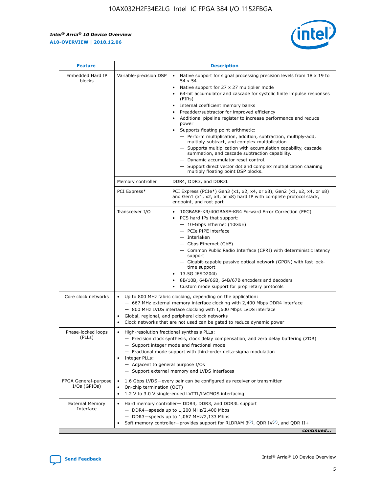r



| <b>Feature</b>                         | <b>Description</b>                                                                                     |                                                                                                                                                                                                                                                                                                                                                                                                                                                                                                                                                                                                                                                                                                                                                                                                                                                                  |  |  |  |  |  |
|----------------------------------------|--------------------------------------------------------------------------------------------------------|------------------------------------------------------------------------------------------------------------------------------------------------------------------------------------------------------------------------------------------------------------------------------------------------------------------------------------------------------------------------------------------------------------------------------------------------------------------------------------------------------------------------------------------------------------------------------------------------------------------------------------------------------------------------------------------------------------------------------------------------------------------------------------------------------------------------------------------------------------------|--|--|--|--|--|
| Embedded Hard IP<br>blocks             | Variable-precision DSP                                                                                 | Native support for signal processing precision levels from $18 \times 19$ to<br>$\bullet$<br>54 x 54<br>Native support for 27 x 27 multiplier mode<br>$\bullet$<br>64-bit accumulator and cascade for systolic finite impulse responses<br>(FIRs)<br>Internal coefficient memory banks<br>$\bullet$<br>Preadder/subtractor for improved efficiency<br>Additional pipeline register to increase performance and reduce<br>power<br>Supports floating point arithmetic:<br>- Perform multiplication, addition, subtraction, multiply-add,<br>multiply-subtract, and complex multiplication.<br>- Supports multiplication with accumulation capability, cascade<br>summation, and cascade subtraction capability.<br>- Dynamic accumulator reset control.<br>- Support direct vector dot and complex multiplication chaining<br>multiply floating point DSP blocks. |  |  |  |  |  |
|                                        | Memory controller                                                                                      | DDR4, DDR3, and DDR3L                                                                                                                                                                                                                                                                                                                                                                                                                                                                                                                                                                                                                                                                                                                                                                                                                                            |  |  |  |  |  |
|                                        | PCI Express*                                                                                           | PCI Express (PCIe*) Gen3 (x1, x2, x4, or x8), Gen2 (x1, x2, x4, or x8)<br>and Gen1 (x1, x2, x4, or x8) hard IP with complete protocol stack,<br>endpoint, and root port                                                                                                                                                                                                                                                                                                                                                                                                                                                                                                                                                                                                                                                                                          |  |  |  |  |  |
|                                        | Transceiver I/O                                                                                        | $\bullet$<br>10GBASE-KR/40GBASE-KR4 Forward Error Correction (FEC)<br>PCS hard IPs that support:<br>$\bullet$<br>- 10-Gbps Ethernet (10GbE)<br>- PCIe PIPE interface<br>- Interlaken<br>- Gbps Ethernet (GbE)<br>- Common Public Radio Interface (CPRI) with deterministic latency<br>support<br>- Gigabit-capable passive optical network (GPON) with fast lock-<br>time support<br>13.5G JESD204b<br>$\bullet$<br>8B/10B, 64B/66B, 64B/67B encoders and decoders<br>Custom mode support for proprietary protocols                                                                                                                                                                                                                                                                                                                                              |  |  |  |  |  |
| Core clock networks                    | ٠<br>٠                                                                                                 | Up to 800 MHz fabric clocking, depending on the application:<br>- 667 MHz external memory interface clocking with 2,400 Mbps DDR4 interface<br>- 800 MHz LVDS interface clocking with 1,600 Mbps LVDS interface<br>Global, regional, and peripheral clock networks<br>Clock networks that are not used can be gated to reduce dynamic power                                                                                                                                                                                                                                                                                                                                                                                                                                                                                                                      |  |  |  |  |  |
| Phase-locked loops<br>(PLLs)           | High-resolution fractional synthesis PLLs:<br>٠<br>Integer PLLs:<br>- Adjacent to general purpose I/Os | - Precision clock synthesis, clock delay compensation, and zero delay buffering (ZDB)<br>- Support integer mode and fractional mode<br>- Fractional mode support with third-order delta-sigma modulation<br>- Support external memory and LVDS interfaces                                                                                                                                                                                                                                                                                                                                                                                                                                                                                                                                                                                                        |  |  |  |  |  |
| FPGA General-purpose<br>$I/Os$ (GPIOs) | On-chip termination (OCT)                                                                              | 1.6 Gbps LVDS-every pair can be configured as receiver or transmitter<br>1.2 V to 3.0 V single-ended LVTTL/LVCMOS interfacing                                                                                                                                                                                                                                                                                                                                                                                                                                                                                                                                                                                                                                                                                                                                    |  |  |  |  |  |
| <b>External Memory</b><br>Interface    |                                                                                                        | Hard memory controller- DDR4, DDR3, and DDR3L support<br>- DDR4-speeds up to 1,200 MHz/2,400 Mbps<br>- DDR3-speeds up to 1,067 MHz/2,133 Mbps<br>Soft memory controller—provides support for RLDRAM $3^{(2)}$ , QDR IV $^{(2)}$ , and QDR II+<br>continued                                                                                                                                                                                                                                                                                                                                                                                                                                                                                                                                                                                                       |  |  |  |  |  |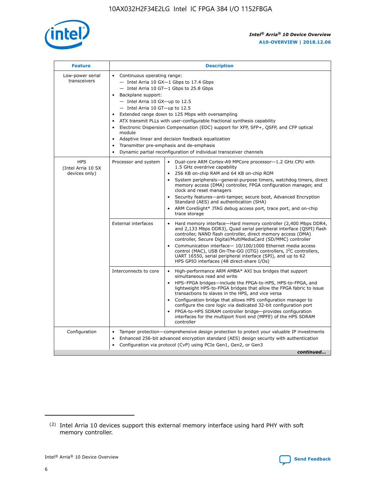

| <b>Feature</b>                                    | <b>Description</b>                                                                                                                                                                                                                                                                                                                                                                                                                                                                                                                                                                                                                                  |
|---------------------------------------------------|-----------------------------------------------------------------------------------------------------------------------------------------------------------------------------------------------------------------------------------------------------------------------------------------------------------------------------------------------------------------------------------------------------------------------------------------------------------------------------------------------------------------------------------------------------------------------------------------------------------------------------------------------------|
| Low-power serial<br>transceivers                  | • Continuous operating range:<br>- Intel Arria 10 GX-1 Gbps to 17.4 Gbps<br>- Intel Arria 10 GT-1 Gbps to 25.8 Gbps<br>Backplane support:<br>- Intel Arria 10 GX-up to 12.5<br>- Intel Arria 10 GT-up to 12.5<br>Extended range down to 125 Mbps with oversampling<br>ATX transmit PLLs with user-configurable fractional synthesis capability<br>Electronic Dispersion Compensation (EDC) support for XFP, SFP+, QSFP, and CFP optical<br>module<br>Adaptive linear and decision feedback equalization<br>$\bullet$<br>Transmitter pre-emphasis and de-emphasis<br>$\bullet$<br>Dynamic partial reconfiguration of individual transceiver channels |
| <b>HPS</b><br>(Intel Arria 10 SX<br>devices only) | Dual-core ARM Cortex-A9 MPCore processor-1.2 GHz CPU with<br>Processor and system<br>$\bullet$<br>1.5 GHz overdrive capability<br>256 KB on-chip RAM and 64 KB on-chip ROM<br>System peripherals—general-purpose timers, watchdog timers, direct<br>memory access (DMA) controller, FPGA configuration manager, and<br>clock and reset managers<br>Security features-anti-tamper, secure boot, Advanced Encryption<br>Standard (AES) and authentication (SHA)<br>ARM CoreSight* JTAG debug access port, trace port, and on-chip<br>trace storage                                                                                                    |
|                                                   | <b>External interfaces</b><br>Hard memory interface-Hard memory controller (2,400 Mbps DDR4,<br>$\bullet$<br>and 2,133 Mbps DDR3), Quad serial peripheral interface (QSPI) flash<br>controller, NAND flash controller, direct memory access (DMA)<br>controller, Secure Digital/MultiMediaCard (SD/MMC) controller<br>Communication interface-10/100/1000 Ethernet media access<br>control (MAC), USB On-The-GO (OTG) controllers, I <sup>2</sup> C controllers,<br>UART 16550, serial peripheral interface (SPI), and up to 62<br>HPS GPIO interfaces (48 direct-share I/Os)                                                                       |
|                                                   | High-performance ARM AMBA* AXI bus bridges that support<br>Interconnects to core<br>$\bullet$<br>simultaneous read and write<br>HPS-FPGA bridges-include the FPGA-to-HPS, HPS-to-FPGA, and<br>$\bullet$<br>lightweight HPS-to-FPGA bridges that allow the FPGA fabric to issue<br>transactions to slaves in the HPS, and vice versa<br>Configuration bridge that allows HPS configuration manager to<br>configure the core logic via dedicated 32-bit configuration port<br>FPGA-to-HPS SDRAM controller bridge-provides configuration<br>interfaces for the multiport front end (MPFE) of the HPS SDRAM<br>controller                              |
| Configuration                                     | Tamper protection—comprehensive design protection to protect your valuable IP investments<br>Enhanced 256-bit advanced encryption standard (AES) design security with authentication<br>٠<br>Configuration via protocol (CvP) using PCIe Gen1, Gen2, or Gen3<br>continued                                                                                                                                                                                                                                                                                                                                                                           |

<sup>(2)</sup> Intel Arria 10 devices support this external memory interface using hard PHY with soft memory controller.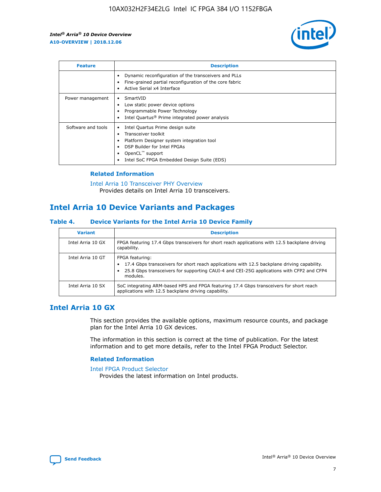

| <b>Feature</b>     | <b>Description</b>                                                                                                                                                                                               |
|--------------------|------------------------------------------------------------------------------------------------------------------------------------------------------------------------------------------------------------------|
|                    | Dynamic reconfiguration of the transceivers and PLLs<br>Fine-grained partial reconfiguration of the core fabric<br>Active Serial x4 Interface<br>$\bullet$                                                       |
| Power management   | SmartVID<br>Low static power device options<br>Programmable Power Technology<br>Intel Quartus <sup>®</sup> Prime integrated power analysis                                                                       |
| Software and tools | Intel Quartus Prime design suite<br>Transceiver toolkit<br>Platform Designer system integration tool<br>DSP Builder for Intel FPGAs<br>OpenCL <sup>™</sup> support<br>Intel SoC FPGA Embedded Design Suite (EDS) |

## **Related Information**

[Intel Arria 10 Transceiver PHY Overview](https://www.intel.com/content/www/us/en/programmable/documentation/nik1398707230472.html#nik1398706768037) Provides details on Intel Arria 10 transceivers.

# **Intel Arria 10 Device Variants and Packages**

#### **Table 4. Device Variants for the Intel Arria 10 Device Family**

| <b>Variant</b>    | <b>Description</b>                                                                                                                                                                                                     |
|-------------------|------------------------------------------------------------------------------------------------------------------------------------------------------------------------------------------------------------------------|
| Intel Arria 10 GX | FPGA featuring 17.4 Gbps transceivers for short reach applications with 12.5 backplane driving<br>capability.                                                                                                          |
| Intel Arria 10 GT | FPGA featuring:<br>17.4 Gbps transceivers for short reach applications with 12.5 backplane driving capability.<br>25.8 Gbps transceivers for supporting CAUI-4 and CEI-25G applications with CFP2 and CFP4<br>modules. |
| Intel Arria 10 SX | SoC integrating ARM-based HPS and FPGA featuring 17.4 Gbps transceivers for short reach<br>applications with 12.5 backplane driving capability.                                                                        |

## **Intel Arria 10 GX**

This section provides the available options, maximum resource counts, and package plan for the Intel Arria 10 GX devices.

The information in this section is correct at the time of publication. For the latest information and to get more details, refer to the Intel FPGA Product Selector.

## **Related Information**

#### [Intel FPGA Product Selector](http://www.altera.com/products/selector/psg-selector.html) Provides the latest information on Intel products.

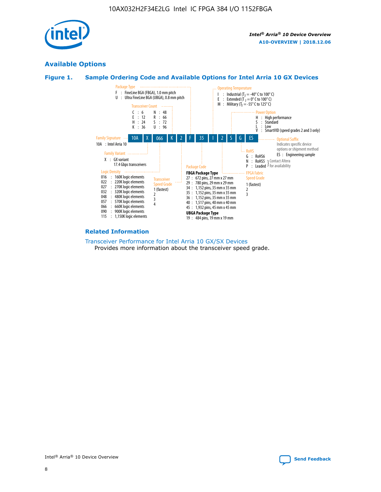

## **Available Options**





#### **Related Information**

[Transceiver Performance for Intel Arria 10 GX/SX Devices](https://www.intel.com/content/www/us/en/programmable/documentation/mcn1413182292568.html#mcn1413213965502) Provides more information about the transceiver speed grade.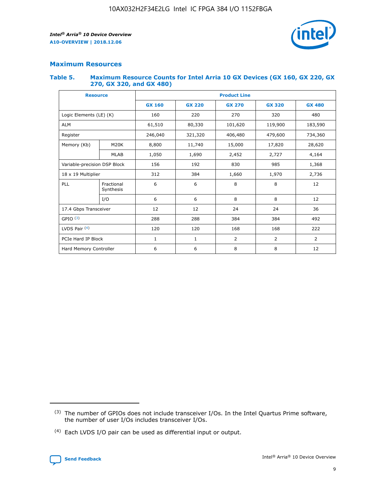

## **Maximum Resources**

#### **Table 5. Maximum Resource Counts for Intel Arria 10 GX Devices (GX 160, GX 220, GX 270, GX 320, and GX 480)**

| <b>Resource</b>              |                         | <b>Product Line</b> |                                                 |                    |                |                |  |  |  |
|------------------------------|-------------------------|---------------------|-------------------------------------------------|--------------------|----------------|----------------|--|--|--|
|                              |                         | <b>GX 160</b>       | <b>GX 220</b><br><b>GX 270</b><br><b>GX 320</b> |                    |                | <b>GX 480</b>  |  |  |  |
| Logic Elements (LE) (K)      |                         | 160                 | 220<br>320<br>270                               |                    |                | 480            |  |  |  |
| <b>ALM</b>                   |                         | 61,510              | 80,330                                          | 101,620            | 119,900        | 183,590        |  |  |  |
| Register                     |                         | 246,040             | 321,320                                         | 406,480<br>479,600 |                | 734,360        |  |  |  |
| Memory (Kb)                  | M <sub>20</sub> K       | 8,800               | 11,740                                          | 15,000             | 17,820         | 28,620         |  |  |  |
|                              | <b>MLAB</b>             | 1,050               | 1,690                                           | 2,452<br>2,727     |                | 4,164          |  |  |  |
| Variable-precision DSP Block |                         | 156                 | 192                                             | 830                | 985            |                |  |  |  |
| 18 x 19 Multiplier           |                         | 312                 | 384                                             | 1,660<br>1,970     |                | 2,736          |  |  |  |
| PLL                          | Fractional<br>Synthesis | 6                   | 6                                               | 8                  | 8              | 12             |  |  |  |
|                              | I/O                     | 6                   | 6                                               | 8                  | 8              | 12             |  |  |  |
| 17.4 Gbps Transceiver        |                         | 12                  | 12                                              | 24                 | 24             | 36             |  |  |  |
| GPIO <sup>(3)</sup>          |                         | 288                 | 288                                             | 384                | 384            | 492            |  |  |  |
| LVDS Pair $(4)$              |                         | 120                 | 120                                             | 168                | 168            | 222            |  |  |  |
| PCIe Hard IP Block           |                         | $\mathbf{1}$        | 1                                               | $\overline{2}$     | $\overline{2}$ | $\overline{2}$ |  |  |  |
| Hard Memory Controller       |                         | 6                   | 6                                               | 8                  | 8              |                |  |  |  |

<sup>(4)</sup> Each LVDS I/O pair can be used as differential input or output.



<sup>(3)</sup> The number of GPIOs does not include transceiver I/Os. In the Intel Quartus Prime software, the number of user I/Os includes transceiver I/Os.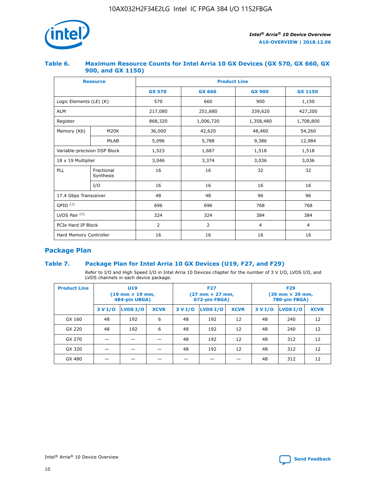

## **Table 6. Maximum Resource Counts for Intel Arria 10 GX Devices (GX 570, GX 660, GX 900, and GX 1150)**

|                              | <b>Resource</b>         | <b>Product Line</b> |                |                |                |  |  |  |
|------------------------------|-------------------------|---------------------|----------------|----------------|----------------|--|--|--|
|                              |                         | <b>GX 570</b>       | <b>GX 660</b>  | <b>GX 900</b>  | <b>GX 1150</b> |  |  |  |
| Logic Elements (LE) (K)      |                         | 570                 | 660            | 900            | 1,150          |  |  |  |
| <b>ALM</b>                   |                         | 217,080             | 251,680        | 339,620        | 427,200        |  |  |  |
| Register                     |                         | 868,320             | 1,006,720      |                | 1,708,800      |  |  |  |
| Memory (Kb)                  | <b>M20K</b>             | 36,000              | 42,620         | 48,460         | 54,260         |  |  |  |
|                              | <b>MLAB</b>             | 5,096               | 5,788<br>9,386 |                | 12,984         |  |  |  |
| Variable-precision DSP Block |                         | 1,523               | 1,687          | 1,518          | 1,518          |  |  |  |
| $18 \times 19$ Multiplier    |                         | 3,046               | 3,374          | 3,036          | 3,036          |  |  |  |
| PLL                          | Fractional<br>Synthesis | 16                  | 16             | 32             | 32             |  |  |  |
|                              | I/O                     | 16                  | 16             | 16             | 16             |  |  |  |
| 17.4 Gbps Transceiver        |                         | 48                  | 48<br>96       |                | 96             |  |  |  |
| GPIO <sup>(3)</sup>          |                         | 696                 | 696            | 768            | 768            |  |  |  |
| LVDS Pair $(4)$              |                         | 324                 | 324            | 384            | 384            |  |  |  |
| PCIe Hard IP Block           |                         | 2                   | $\overline{2}$ | $\overline{4}$ | $\overline{4}$ |  |  |  |
| Hard Memory Controller       |                         | 16                  | 16             | 16             | 16             |  |  |  |

## **Package Plan**

## **Table 7. Package Plan for Intel Arria 10 GX Devices (U19, F27, and F29)**

Refer to I/O and High Speed I/O in Intel Arria 10 Devices chapter for the number of 3 V I/O, LVDS I/O, and LVDS channels in each device package.

| <b>Product Line</b> | U <sub>19</sub><br>$(19 \text{ mm} \times 19 \text{ mm})$<br>484-pin UBGA) |          |             | <b>F27</b><br>(27 mm × 27 mm,<br>672-pin FBGA) |                 |             | <b>F29</b><br>(29 mm × 29 mm,<br>780-pin FBGA) |          |             |
|---------------------|----------------------------------------------------------------------------|----------|-------------|------------------------------------------------|-----------------|-------------|------------------------------------------------|----------|-------------|
|                     | 3 V I/O                                                                    | LVDS I/O | <b>XCVR</b> | 3 V I/O                                        | <b>LVDS I/O</b> | <b>XCVR</b> | 3 V I/O                                        | LVDS I/O | <b>XCVR</b> |
| GX 160              | 48                                                                         | 192      | 6           | 48                                             | 192             | 12          | 48                                             | 240      | 12          |
| GX 220              | 48                                                                         | 192      | 6           | 48                                             | 192             | 12          | 48                                             | 240      | 12          |
| GX 270              |                                                                            |          |             | 48                                             | 192             | 12          | 48                                             | 312      | 12          |
| GX 320              |                                                                            |          |             | 48                                             | 192             | 12          | 48                                             | 312      | 12          |
| GX 480              |                                                                            |          |             |                                                |                 |             | 48                                             | 312      | 12          |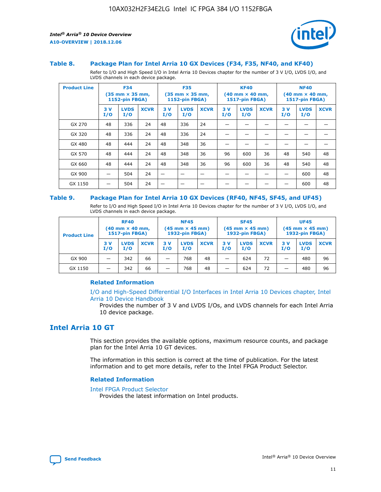

#### **Table 8. Package Plan for Intel Arria 10 GX Devices (F34, F35, NF40, and KF40)**

Refer to I/O and High Speed I/O in Intel Arria 10 Devices chapter for the number of 3 V I/O, LVDS I/O, and LVDS channels in each device package.

| <b>Product Line</b> | <b>F34</b><br>$(35 \text{ mm} \times 35 \text{ mm})$<br>1152-pin FBGA) |                    | <b>F35</b><br>$(35 \text{ mm} \times 35 \text{ mm})$<br><b>1152-pin FBGA)</b> |           | <b>KF40</b><br>$(40$ mm $\times$ 40 mm,<br>1517-pin FBGA) |             |           | <b>NF40</b><br>$(40$ mm $\times$ 40 mm,<br><b>1517-pin FBGA)</b> |             |            |                    |             |
|---------------------|------------------------------------------------------------------------|--------------------|-------------------------------------------------------------------------------|-----------|-----------------------------------------------------------|-------------|-----------|------------------------------------------------------------------|-------------|------------|--------------------|-------------|
|                     | 3V<br>I/O                                                              | <b>LVDS</b><br>I/O | <b>XCVR</b>                                                                   | 3V<br>I/O | <b>LVDS</b><br>I/O                                        | <b>XCVR</b> | 3V<br>I/O | <b>LVDS</b><br>I/O                                               | <b>XCVR</b> | 3 V<br>I/O | <b>LVDS</b><br>I/O | <b>XCVR</b> |
| GX 270              | 48                                                                     | 336                | 24                                                                            | 48        | 336                                                       | 24          |           |                                                                  |             |            |                    |             |
| GX 320              | 48                                                                     | 336                | 24                                                                            | 48        | 336                                                       | 24          |           |                                                                  |             |            |                    |             |
| GX 480              | 48                                                                     | 444                | 24                                                                            | 48        | 348                                                       | 36          |           |                                                                  |             |            |                    |             |
| GX 570              | 48                                                                     | 444                | 24                                                                            | 48        | 348                                                       | 36          | 96        | 600                                                              | 36          | 48         | 540                | 48          |
| GX 660              | 48                                                                     | 444                | 24                                                                            | 48        | 348                                                       | 36          | 96        | 600                                                              | 36          | 48         | 540                | 48          |
| GX 900              |                                                                        | 504                | 24                                                                            | -         |                                                           |             |           |                                                                  |             |            | 600                | 48          |
| GX 1150             |                                                                        | 504                | 24                                                                            |           |                                                           |             |           |                                                                  |             |            | 600                | 48          |

#### **Table 9. Package Plan for Intel Arria 10 GX Devices (RF40, NF45, SF45, and UF45)**

Refer to I/O and High Speed I/O in Intel Arria 10 Devices chapter for the number of 3 V I/O, LVDS I/O, and LVDS channels in each device package.

| <b>Product Line</b> | <b>RF40</b><br>$(40$ mm $\times$ 40 mm,<br>1517-pin FBGA) |                    | <b>NF45</b><br>$(45 \text{ mm} \times 45 \text{ mm})$<br><b>1932-pin FBGA)</b> |            |                    | <b>SF45</b><br>$(45 \text{ mm} \times 45 \text{ mm})$<br><b>1932-pin FBGA)</b> |            |                    | <b>UF45</b><br>$(45 \text{ mm} \times 45 \text{ mm})$<br><b>1932-pin FBGA)</b> |           |                    |             |
|---------------------|-----------------------------------------------------------|--------------------|--------------------------------------------------------------------------------|------------|--------------------|--------------------------------------------------------------------------------|------------|--------------------|--------------------------------------------------------------------------------|-----------|--------------------|-------------|
|                     | 3V<br>I/O                                                 | <b>LVDS</b><br>I/O | <b>XCVR</b>                                                                    | 3 V<br>I/O | <b>LVDS</b><br>I/O | <b>XCVR</b>                                                                    | 3 V<br>I/O | <b>LVDS</b><br>I/O | <b>XCVR</b>                                                                    | 3V<br>I/O | <b>LVDS</b><br>I/O | <b>XCVR</b> |
| GX 900              |                                                           | 342                | 66                                                                             | _          | 768                | 48                                                                             |            | 624                | 72                                                                             |           | 480                | 96          |
| GX 1150             |                                                           | 342                | 66                                                                             | _          | 768                | 48                                                                             |            | 624                | 72                                                                             |           | 480                | 96          |

## **Related Information**

[I/O and High-Speed Differential I/O Interfaces in Intel Arria 10 Devices chapter, Intel](https://www.intel.com/content/www/us/en/programmable/documentation/sam1403482614086.html#sam1403482030321) [Arria 10 Device Handbook](https://www.intel.com/content/www/us/en/programmable/documentation/sam1403482614086.html#sam1403482030321)

Provides the number of 3 V and LVDS I/Os, and LVDS channels for each Intel Arria 10 device package.

## **Intel Arria 10 GT**

This section provides the available options, maximum resource counts, and package plan for the Intel Arria 10 GT devices.

The information in this section is correct at the time of publication. For the latest information and to get more details, refer to the Intel FPGA Product Selector.

#### **Related Information**

#### [Intel FPGA Product Selector](http://www.altera.com/products/selector/psg-selector.html)

Provides the latest information on Intel products.

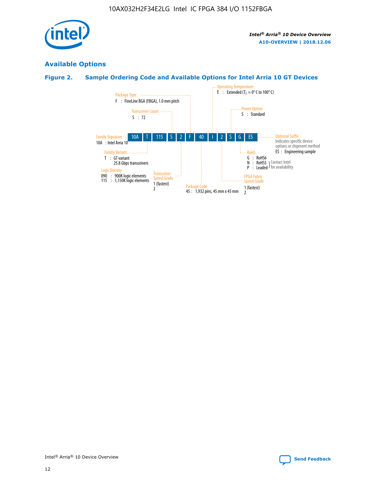

## **Available Options**

## **Figure 2. Sample Ordering Code and Available Options for Intel Arria 10 GT Devices**

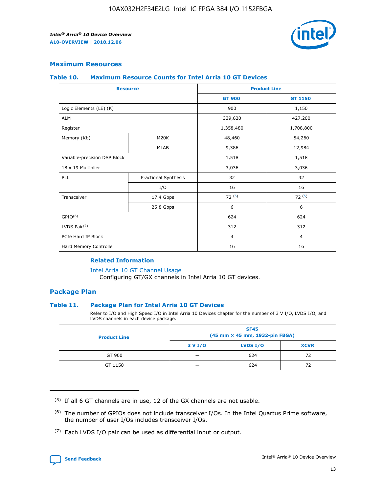

## **Maximum Resources**

#### **Table 10. Maximum Resource Counts for Intel Arria 10 GT Devices**

| <b>Resource</b>              |                      |                | <b>Product Line</b> |  |
|------------------------------|----------------------|----------------|---------------------|--|
|                              |                      | <b>GT 900</b>  | GT 1150             |  |
| Logic Elements (LE) (K)      |                      | 900            | 1,150               |  |
| <b>ALM</b>                   |                      | 339,620        | 427,200             |  |
| Register                     |                      | 1,358,480      | 1,708,800           |  |
| Memory (Kb)                  | M <sub>20</sub> K    | 48,460         | 54,260              |  |
|                              | <b>MLAB</b>          | 9,386          | 12,984              |  |
| Variable-precision DSP Block |                      | 1,518          | 1,518               |  |
| 18 x 19 Multiplier           |                      | 3,036          | 3,036               |  |
| PLL                          | Fractional Synthesis | 32             | 32                  |  |
|                              | I/O                  | 16             | 16                  |  |
| Transceiver                  | 17.4 Gbps            | 72(5)          | 72(5)               |  |
|                              | 25.8 Gbps            | 6              | 6                   |  |
| GPIO <sup>(6)</sup>          |                      | 624            | 624                 |  |
| LVDS Pair $(7)$              |                      | 312            | 312                 |  |
| PCIe Hard IP Block           |                      | $\overline{4}$ | $\overline{4}$      |  |
| Hard Memory Controller       |                      | 16             | 16                  |  |

#### **Related Information**

#### [Intel Arria 10 GT Channel Usage](https://www.intel.com/content/www/us/en/programmable/documentation/nik1398707230472.html#nik1398707008178)

Configuring GT/GX channels in Intel Arria 10 GT devices.

## **Package Plan**

## **Table 11. Package Plan for Intel Arria 10 GT Devices**

Refer to I/O and High Speed I/O in Intel Arria 10 Devices chapter for the number of 3 V I/O, LVDS I/O, and LVDS channels in each device package.

| <b>Product Line</b> | <b>SF45</b><br>(45 mm × 45 mm, 1932-pin FBGA) |                 |             |  |  |  |
|---------------------|-----------------------------------------------|-----------------|-------------|--|--|--|
|                     | 3 V I/O                                       | <b>LVDS I/O</b> | <b>XCVR</b> |  |  |  |
| GT 900              |                                               | 624             | 72          |  |  |  |
| GT 1150             |                                               | 624             |             |  |  |  |

<sup>(7)</sup> Each LVDS I/O pair can be used as differential input or output.



 $(5)$  If all 6 GT channels are in use, 12 of the GX channels are not usable.

<sup>(6)</sup> The number of GPIOs does not include transceiver I/Os. In the Intel Quartus Prime software, the number of user I/Os includes transceiver I/Os.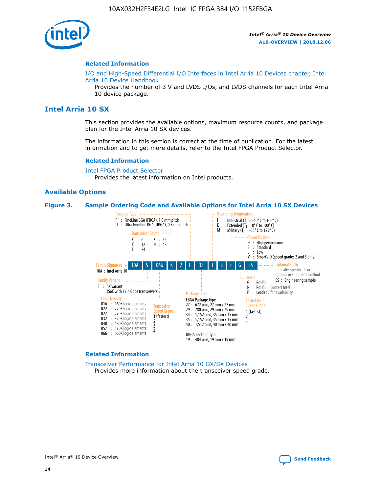

#### **Related Information**

[I/O and High-Speed Differential I/O Interfaces in Intel Arria 10 Devices chapter, Intel](https://www.intel.com/content/www/us/en/programmable/documentation/sam1403482614086.html#sam1403482030321) [Arria 10 Device Handbook](https://www.intel.com/content/www/us/en/programmable/documentation/sam1403482614086.html#sam1403482030321)

Provides the number of 3 V and LVDS I/Os, and LVDS channels for each Intel Arria 10 device package.

## **Intel Arria 10 SX**

This section provides the available options, maximum resource counts, and package plan for the Intel Arria 10 SX devices.

The information in this section is correct at the time of publication. For the latest information and to get more details, refer to the Intel FPGA Product Selector.

#### **Related Information**

[Intel FPGA Product Selector](http://www.altera.com/products/selector/psg-selector.html) Provides the latest information on Intel products.

## **Available Options**

#### **Figure 3. Sample Ordering Code and Available Options for Intel Arria 10 SX Devices**



#### **Related Information**

[Transceiver Performance for Intel Arria 10 GX/SX Devices](https://www.intel.com/content/www/us/en/programmable/documentation/mcn1413182292568.html#mcn1413213965502) Provides more information about the transceiver speed grade.

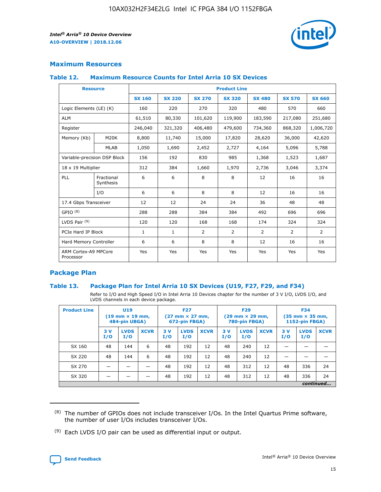

## **Maximum Resources**

## **Table 12. Maximum Resource Counts for Intel Arria 10 SX Devices**

| <b>Resource</b>                   |                         | <b>Product Line</b> |               |               |                |               |               |               |  |  |  |
|-----------------------------------|-------------------------|---------------------|---------------|---------------|----------------|---------------|---------------|---------------|--|--|--|
|                                   |                         | <b>SX 160</b>       | <b>SX 220</b> | <b>SX 270</b> | <b>SX 320</b>  | <b>SX 480</b> | <b>SX 570</b> | <b>SX 660</b> |  |  |  |
| Logic Elements (LE) (K)           |                         | 160                 | 220           | 270           | 320            | 480           | 570           | 660           |  |  |  |
| <b>ALM</b>                        |                         | 61,510              | 80,330        | 101,620       | 119,900        | 183,590       | 217,080       | 251,680       |  |  |  |
| Register                          |                         | 246,040             | 321,320       | 406,480       | 479,600        | 734,360       | 868,320       | 1,006,720     |  |  |  |
| Memory (Kb)                       | M20K                    | 8,800               | 11,740        | 15,000        | 17,820         | 28,620        | 36,000        | 42,620        |  |  |  |
|                                   | <b>MLAB</b>             | 1,050               | 1,690         | 2,452         | 2,727          | 4,164         | 5,096         | 5,788         |  |  |  |
| Variable-precision DSP Block      |                         | 156                 | 192           | 830           | 985            | 1,368         | 1,523         | 1,687         |  |  |  |
| 18 x 19 Multiplier                |                         | 312                 | 384           | 1,660         | 1,970          | 2,736         | 3,046         | 3,374         |  |  |  |
| PLL                               | Fractional<br>Synthesis | 6                   | 6             | 8             | 8              | 12            | 16            | 16            |  |  |  |
|                                   | I/O                     | 6                   | 6             | 8             | 8              | 12            | 16            | 16            |  |  |  |
| 17.4 Gbps Transceiver             |                         | 12                  | 12            | 24            | 24             | 36            | 48            | 48            |  |  |  |
| GPIO <sup>(8)</sup>               |                         | 288                 | 288           | 384           | 384            | 492           | 696           | 696           |  |  |  |
| LVDS Pair $(9)$                   |                         | 120                 | 120           | 168           | 168            | 174           | 324           | 324           |  |  |  |
| PCIe Hard IP Block                |                         | $\mathbf{1}$        | $\mathbf{1}$  | 2             | $\overline{2}$ | 2             | 2             | 2             |  |  |  |
| Hard Memory Controller            |                         | 6                   | 6             | 8             | 8              | 12            | 16            | 16            |  |  |  |
| ARM Cortex-A9 MPCore<br>Processor |                         | Yes                 | Yes           | Yes           | Yes            | Yes           | Yes           | Yes           |  |  |  |

## **Package Plan**

## **Table 13. Package Plan for Intel Arria 10 SX Devices (U19, F27, F29, and F34)**

Refer to I/O and High Speed I/O in Intel Arria 10 Devices chapter for the number of 3 V I/O, LVDS I/O, and LVDS channels in each device package.

| <b>Product Line</b> | U19<br>$(19 \text{ mm} \times 19 \text{ mm})$<br>484-pin UBGA) |                    | <b>F27</b><br>$(27 \text{ mm} \times 27 \text{ mm})$<br>672-pin FBGA) |           | <b>F29</b><br>$(29 \text{ mm} \times 29 \text{ mm})$<br>780-pin FBGA) |             |            | <b>F34</b><br>$(35 \text{ mm} \times 35 \text{ mm})$<br><b>1152-pin FBGA)</b> |             |           |                    |             |
|---------------------|----------------------------------------------------------------|--------------------|-----------------------------------------------------------------------|-----------|-----------------------------------------------------------------------|-------------|------------|-------------------------------------------------------------------------------|-------------|-----------|--------------------|-------------|
|                     | 3V<br>I/O                                                      | <b>LVDS</b><br>I/O | <b>XCVR</b>                                                           | 3V<br>I/O | <b>LVDS</b><br>I/O                                                    | <b>XCVR</b> | 3 V<br>I/O | <b>LVDS</b><br>I/O                                                            | <b>XCVR</b> | 3V<br>I/O | <b>LVDS</b><br>I/O | <b>XCVR</b> |
| SX 160              | 48                                                             | 144                | 6                                                                     | 48        | 192                                                                   | 12          | 48         | 240                                                                           | 12          | –         |                    |             |
| SX 220              | 48                                                             | 144                | 6                                                                     | 48        | 192                                                                   | 12          | 48         | 240                                                                           | 12          |           |                    |             |
| SX 270              |                                                                |                    |                                                                       | 48        | 192                                                                   | 12          | 48         | 312                                                                           | 12          | 48        | 336                | 24          |
| SX 320              |                                                                |                    |                                                                       | 48        | 192                                                                   | 12          | 48         | 312                                                                           | 12          | 48        | 336                | 24          |
|                     | continued                                                      |                    |                                                                       |           |                                                                       |             |            |                                                                               |             |           |                    |             |

 $(8)$  The number of GPIOs does not include transceiver I/Os. In the Intel Quartus Prime software, the number of user I/Os includes transceiver I/Os.

 $(9)$  Each LVDS I/O pair can be used as differential input or output.

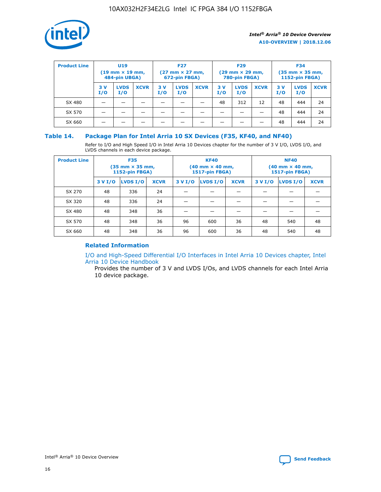

| <b>Product Line</b> | U <sub>19</sub><br>$(19 \text{ mm} \times 19 \text{ mm})$<br>484-pin UBGA) |                    | <b>F27</b><br>$(27 \text{ mm} \times 27 \text{ mm})$<br>672-pin FBGA) |           | <b>F29</b><br>$(29 \text{ mm} \times 29 \text{ mm})$<br>780-pin FBGA) |             |           | <b>F34</b><br>$(35 \text{ mm} \times 35 \text{ mm})$<br><b>1152-pin FBGA)</b> |             |           |                    |             |
|---------------------|----------------------------------------------------------------------------|--------------------|-----------------------------------------------------------------------|-----------|-----------------------------------------------------------------------|-------------|-----------|-------------------------------------------------------------------------------|-------------|-----------|--------------------|-------------|
|                     | 3 V<br>I/O                                                                 | <b>LVDS</b><br>I/O | <b>XCVR</b>                                                           | 3V<br>I/O | <b>LVDS</b><br>I/O                                                    | <b>XCVR</b> | 3V<br>I/O | <b>LVDS</b><br>I/O                                                            | <b>XCVR</b> | 3V<br>I/O | <b>LVDS</b><br>I/O | <b>XCVR</b> |
| SX 480              |                                                                            |                    |                                                                       |           |                                                                       |             | 48        | 312                                                                           | 12          | 48        | 444                | 24          |
| SX 570              |                                                                            |                    |                                                                       |           |                                                                       |             |           |                                                                               |             | 48        | 444                | 24          |
| SX 660              |                                                                            |                    |                                                                       |           |                                                                       |             |           |                                                                               |             | 48        | 444                | 24          |

## **Table 14. Package Plan for Intel Arria 10 SX Devices (F35, KF40, and NF40)**

Refer to I/O and High Speed I/O in Intel Arria 10 Devices chapter for the number of 3 V I/O, LVDS I/O, and LVDS channels in each device package.

| <b>Product Line</b> | <b>F35</b><br>(35 mm × 35 mm,<br><b>1152-pin FBGA)</b> |          |             |                                           | <b>KF40</b><br>(40 mm × 40 mm,<br>1517-pin FBGA) |    | <b>NF40</b><br>$(40 \text{ mm} \times 40 \text{ mm})$<br><b>1517-pin FBGA)</b> |          |             |  |
|---------------------|--------------------------------------------------------|----------|-------------|-------------------------------------------|--------------------------------------------------|----|--------------------------------------------------------------------------------|----------|-------------|--|
|                     | 3 V I/O                                                | LVDS I/O | <b>XCVR</b> | <b>LVDS I/O</b><br><b>XCVR</b><br>3 V I/O |                                                  |    | 3 V I/O                                                                        | LVDS I/O | <b>XCVR</b> |  |
| SX 270              | 48                                                     | 336      | 24          |                                           |                                                  |    |                                                                                |          |             |  |
| SX 320              | 48                                                     | 336      | 24          |                                           |                                                  |    |                                                                                |          |             |  |
| SX 480              | 48                                                     | 348      | 36          |                                           |                                                  |    |                                                                                |          |             |  |
| SX 570              | 48                                                     | 348      | 36          | 96<br>36<br>600                           |                                                  | 48 | 540                                                                            | 48       |             |  |
| SX 660              | 48                                                     | 348      | 36          | 96                                        | 600                                              | 36 | 48                                                                             | 540      | 48          |  |

## **Related Information**

[I/O and High-Speed Differential I/O Interfaces in Intel Arria 10 Devices chapter, Intel](https://www.intel.com/content/www/us/en/programmable/documentation/sam1403482614086.html#sam1403482030321) [Arria 10 Device Handbook](https://www.intel.com/content/www/us/en/programmable/documentation/sam1403482614086.html#sam1403482030321)

Provides the number of 3 V and LVDS I/Os, and LVDS channels for each Intel Arria 10 device package.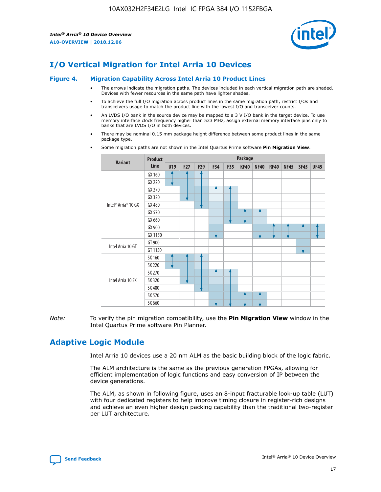

# **I/O Vertical Migration for Intel Arria 10 Devices**

#### **Figure 4. Migration Capability Across Intel Arria 10 Product Lines**

- The arrows indicate the migration paths. The devices included in each vertical migration path are shaded. Devices with fewer resources in the same path have lighter shades.
- To achieve the full I/O migration across product lines in the same migration path, restrict I/Os and transceivers usage to match the product line with the lowest I/O and transceiver counts.
- An LVDS I/O bank in the source device may be mapped to a 3 V I/O bank in the target device. To use memory interface clock frequency higher than 533 MHz, assign external memory interface pins only to banks that are LVDS I/O in both devices.
- There may be nominal 0.15 mm package height difference between some product lines in the same package type.
	- **Variant Product Line Package U19 F27 F29 F34 F35 KF40 NF40 RF40 NF45 SF45 UF45** Intel® Arria® 10 GX GX 160 GX 220 GX 270 GX 320 GX 480 GX 570 GX 660 GX 900 GX 1150 Intel Arria 10 GT GT 900 GT 1150 Intel Arria 10 SX SX 160 SX 220 SX 270 SX 320 SX 480 SX 570 SX 660
- Some migration paths are not shown in the Intel Quartus Prime software **Pin Migration View**.

*Note:* To verify the pin migration compatibility, use the **Pin Migration View** window in the Intel Quartus Prime software Pin Planner.

# **Adaptive Logic Module**

Intel Arria 10 devices use a 20 nm ALM as the basic building block of the logic fabric.

The ALM architecture is the same as the previous generation FPGAs, allowing for efficient implementation of logic functions and easy conversion of IP between the device generations.

The ALM, as shown in following figure, uses an 8-input fracturable look-up table (LUT) with four dedicated registers to help improve timing closure in register-rich designs and achieve an even higher design packing capability than the traditional two-register per LUT architecture.

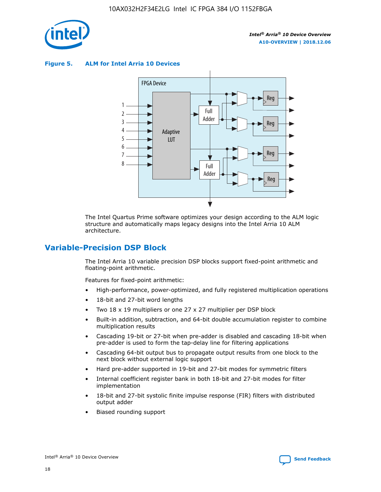

**Figure 5. ALM for Intel Arria 10 Devices**



The Intel Quartus Prime software optimizes your design according to the ALM logic structure and automatically maps legacy designs into the Intel Arria 10 ALM architecture.

## **Variable-Precision DSP Block**

The Intel Arria 10 variable precision DSP blocks support fixed-point arithmetic and floating-point arithmetic.

Features for fixed-point arithmetic:

- High-performance, power-optimized, and fully registered multiplication operations
- 18-bit and 27-bit word lengths
- Two 18 x 19 multipliers or one 27 x 27 multiplier per DSP block
- Built-in addition, subtraction, and 64-bit double accumulation register to combine multiplication results
- Cascading 19-bit or 27-bit when pre-adder is disabled and cascading 18-bit when pre-adder is used to form the tap-delay line for filtering applications
- Cascading 64-bit output bus to propagate output results from one block to the next block without external logic support
- Hard pre-adder supported in 19-bit and 27-bit modes for symmetric filters
- Internal coefficient register bank in both 18-bit and 27-bit modes for filter implementation
- 18-bit and 27-bit systolic finite impulse response (FIR) filters with distributed output adder
- Biased rounding support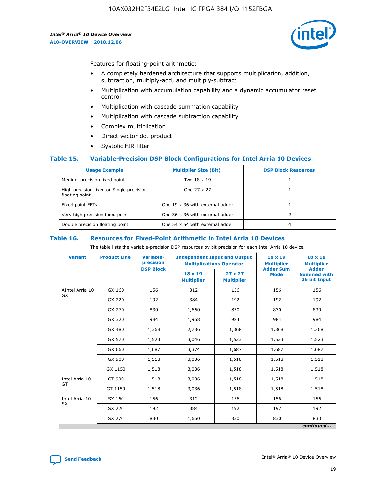

Features for floating-point arithmetic:

- A completely hardened architecture that supports multiplication, addition, subtraction, multiply-add, and multiply-subtract
- Multiplication with accumulation capability and a dynamic accumulator reset control
- Multiplication with cascade summation capability
- Multiplication with cascade subtraction capability
- Complex multiplication
- Direct vector dot product
- Systolic FIR filter

## **Table 15. Variable-Precision DSP Block Configurations for Intel Arria 10 Devices**

| <b>Usage Example</b>                                       | <b>Multiplier Size (Bit)</b>    | <b>DSP Block Resources</b> |
|------------------------------------------------------------|---------------------------------|----------------------------|
| Medium precision fixed point                               | Two 18 x 19                     |                            |
| High precision fixed or Single precision<br>floating point | One 27 x 27                     |                            |
| Fixed point FFTs                                           | One 19 x 36 with external adder |                            |
| Very high precision fixed point                            | One 36 x 36 with external adder |                            |
| Double precision floating point                            | One 54 x 54 with external adder | 4                          |

#### **Table 16. Resources for Fixed-Point Arithmetic in Intel Arria 10 Devices**

The table lists the variable-precision DSP resources by bit precision for each Intel Arria 10 device.

| <b>Variant</b>  | <b>Product Line</b> | <b>Variable-</b><br>precision<br><b>DSP Block</b> | <b>Independent Input and Output</b><br><b>Multiplications Operator</b> |                                     | 18 x 19<br><b>Multiplier</b><br><b>Adder Sum</b> | $18 \times 18$<br><b>Multiplier</b><br><b>Adder</b> |
|-----------------|---------------------|---------------------------------------------------|------------------------------------------------------------------------|-------------------------------------|--------------------------------------------------|-----------------------------------------------------|
|                 |                     |                                                   | 18 x 19<br><b>Multiplier</b>                                           | $27 \times 27$<br><b>Multiplier</b> | <b>Mode</b>                                      | <b>Summed with</b><br>36 bit Input                  |
| AIntel Arria 10 | GX 160              | 156                                               | 312                                                                    | 156                                 | 156                                              | 156                                                 |
| GX              | GX 220              | 192                                               | 384                                                                    | 192                                 | 192                                              | 192                                                 |
|                 | GX 270              | 830                                               | 1,660                                                                  | 830                                 | 830                                              | 830                                                 |
|                 | GX 320              | 984                                               | 1,968                                                                  | 984                                 | 984                                              | 984                                                 |
|                 | GX 480              | 1,368                                             | 2,736                                                                  | 1,368                               | 1,368                                            | 1,368                                               |
|                 | GX 570              | 1,523                                             | 3,046                                                                  | 1,523                               | 1,523                                            | 1,523                                               |
|                 | GX 660              | 1,687                                             | 3,374                                                                  | 1,687                               | 1,687                                            | 1,687                                               |
|                 | GX 900              | 1,518                                             | 3,036                                                                  | 1,518                               | 1,518                                            | 1,518                                               |
|                 | GX 1150             | 1,518                                             | 3,036                                                                  | 1,518                               | 1,518                                            | 1,518                                               |
| Intel Arria 10  | GT 900              | 1,518                                             | 3,036                                                                  | 1,518                               | 1,518                                            | 1,518                                               |
| GT              | GT 1150             | 1,518                                             | 3,036                                                                  | 1,518                               | 1,518                                            | 1,518                                               |
| Intel Arria 10  | SX 160              | 156                                               | 312                                                                    | 156                                 | 156                                              | 156                                                 |
| <b>SX</b>       | SX 220              | 192                                               | 384                                                                    | 192                                 | 192                                              | 192                                                 |
|                 | SX 270              | 830                                               | 1,660                                                                  | 830                                 | 830                                              | 830                                                 |
|                 |                     |                                                   |                                                                        |                                     |                                                  | continued                                           |

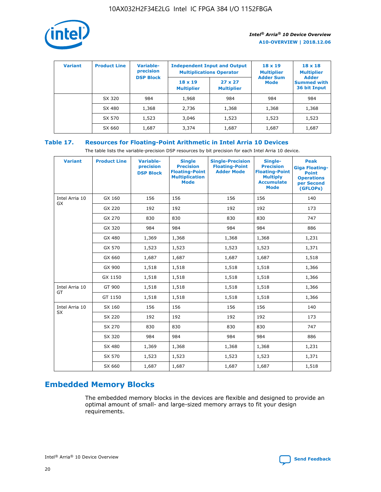

| <b>Variant</b> | <b>Product Line</b> | <b>Variable-</b><br>precision |                                     | <b>Independent Input and Output</b><br><b>Multiplications Operator</b> | $18 \times 19$<br><b>Multiplier</b> | $18 \times 18$<br><b>Multiplier</b><br><b>Adder</b> |  |
|----------------|---------------------|-------------------------------|-------------------------------------|------------------------------------------------------------------------|-------------------------------------|-----------------------------------------------------|--|
|                |                     | <b>DSP Block</b>              | $18 \times 19$<br><b>Multiplier</b> | $27 \times 27$<br><b>Multiplier</b>                                    | <b>Adder Sum</b><br><b>Mode</b>     | <b>Summed with</b><br>36 bit Input                  |  |
|                | SX 320              | 984                           | 1,968                               | 984                                                                    | 984                                 | 984                                                 |  |
|                | SX 480              | 1,368                         | 2,736                               | 1,368                                                                  | 1,368                               | 1,368                                               |  |
|                | SX 570              | 1,523                         | 3,046                               | 1,523                                                                  | 1,523                               | 1,523                                               |  |
|                | SX 660              | 1,687                         | 3,374                               | 1,687                                                                  | 1,687                               | 1,687                                               |  |

## **Table 17. Resources for Floating-Point Arithmetic in Intel Arria 10 Devices**

The table lists the variable-precision DSP resources by bit precision for each Intel Arria 10 device.

| <b>Variant</b>              | <b>Product Line</b> | <b>Variable-</b><br>precision<br><b>DSP Block</b> | <b>Single</b><br><b>Precision</b><br><b>Floating-Point</b><br><b>Multiplication</b><br><b>Mode</b> | <b>Single-Precision</b><br><b>Floating-Point</b><br><b>Adder Mode</b> | Single-<br><b>Precision</b><br><b>Floating-Point</b><br><b>Multiply</b><br><b>Accumulate</b><br><b>Mode</b> | <b>Peak</b><br><b>Giga Floating-</b><br><b>Point</b><br><b>Operations</b><br>per Second<br>(GFLOPs) |
|-----------------------------|---------------------|---------------------------------------------------|----------------------------------------------------------------------------------------------------|-----------------------------------------------------------------------|-------------------------------------------------------------------------------------------------------------|-----------------------------------------------------------------------------------------------------|
| Intel Arria 10<br><b>GX</b> | GX 160              | 156                                               | 156                                                                                                | 156                                                                   | 156                                                                                                         | 140                                                                                                 |
|                             | GX 220              | 192                                               | 192                                                                                                | 192                                                                   | 192                                                                                                         | 173                                                                                                 |
|                             | GX 270              | 830                                               | 830                                                                                                | 830                                                                   | 830                                                                                                         | 747                                                                                                 |
|                             | GX 320              | 984                                               | 984                                                                                                | 984                                                                   | 984                                                                                                         | 886                                                                                                 |
|                             | GX 480              | 1,369                                             | 1,368                                                                                              | 1,368                                                                 | 1,368                                                                                                       | 1,231                                                                                               |
|                             | GX 570              | 1,523                                             | 1,523                                                                                              | 1,523                                                                 | 1,523                                                                                                       | 1,371                                                                                               |
|                             | GX 660              | 1,687                                             | 1,687                                                                                              | 1,687                                                                 | 1,687                                                                                                       | 1,518                                                                                               |
|                             | GX 900              | 1,518                                             | 1,518                                                                                              | 1,518                                                                 | 1,518                                                                                                       | 1,366                                                                                               |
|                             | GX 1150             | 1,518                                             | 1,518                                                                                              | 1,518                                                                 | 1,518                                                                                                       | 1,366                                                                                               |
| Intel Arria 10              | GT 900              | 1,518                                             | 1,518                                                                                              | 1,518                                                                 | 1,518                                                                                                       | 1,366                                                                                               |
| GT                          | GT 1150             | 1,518                                             | 1,518                                                                                              | 1,518                                                                 | 1,518                                                                                                       | 1,366                                                                                               |
| Intel Arria 10              | SX 160              | 156                                               | 156                                                                                                | 156                                                                   | 156                                                                                                         | 140                                                                                                 |
| <b>SX</b>                   | SX 220              | 192                                               | 192                                                                                                | 192                                                                   | 192                                                                                                         | 173                                                                                                 |
|                             | SX 270              | 830                                               | 830                                                                                                | 830                                                                   | 830                                                                                                         | 747                                                                                                 |
|                             | SX 320              | 984                                               | 984                                                                                                | 984                                                                   | 984                                                                                                         | 886                                                                                                 |
|                             | SX 480              | 1,369                                             | 1,368                                                                                              | 1,368                                                                 | 1,368                                                                                                       | 1,231                                                                                               |
|                             | SX 570              | 1,523                                             | 1,523                                                                                              | 1,523                                                                 | 1,523                                                                                                       | 1,371                                                                                               |
|                             | SX 660              | 1,687                                             | 1,687                                                                                              | 1,687                                                                 | 1,687                                                                                                       | 1,518                                                                                               |

# **Embedded Memory Blocks**

The embedded memory blocks in the devices are flexible and designed to provide an optimal amount of small- and large-sized memory arrays to fit your design requirements.

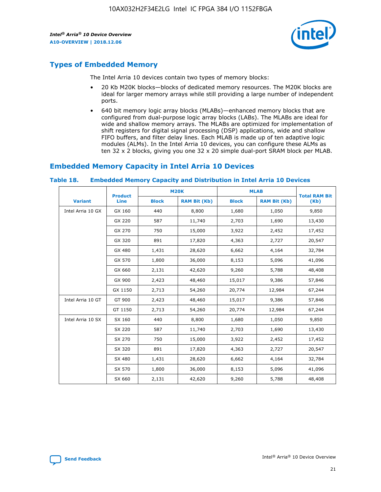

## **Types of Embedded Memory**

The Intel Arria 10 devices contain two types of memory blocks:

- 20 Kb M20K blocks—blocks of dedicated memory resources. The M20K blocks are ideal for larger memory arrays while still providing a large number of independent ports.
- 640 bit memory logic array blocks (MLABs)—enhanced memory blocks that are configured from dual-purpose logic array blocks (LABs). The MLABs are ideal for wide and shallow memory arrays. The MLABs are optimized for implementation of shift registers for digital signal processing (DSP) applications, wide and shallow FIFO buffers, and filter delay lines. Each MLAB is made up of ten adaptive logic modules (ALMs). In the Intel Arria 10 devices, you can configure these ALMs as ten 32 x 2 blocks, giving you one 32 x 20 simple dual-port SRAM block per MLAB.

## **Embedded Memory Capacity in Intel Arria 10 Devices**

|                   | <b>Product</b> |              | <b>M20K</b>         | <b>MLAB</b>  |                     | <b>Total RAM Bit</b> |
|-------------------|----------------|--------------|---------------------|--------------|---------------------|----------------------|
| <b>Variant</b>    | <b>Line</b>    | <b>Block</b> | <b>RAM Bit (Kb)</b> | <b>Block</b> | <b>RAM Bit (Kb)</b> | (Kb)                 |
| Intel Arria 10 GX | GX 160         | 440          | 8,800               | 1,680        | 1,050               | 9,850                |
|                   | GX 220         | 587          | 11,740              | 2,703        | 1,690               | 13,430               |
|                   | GX 270         | 750          | 15,000              | 3,922        | 2,452               | 17,452               |
|                   | GX 320         | 891          | 17,820              | 4,363        | 2,727               | 20,547               |
|                   | GX 480         | 1,431        | 28,620              | 6,662        | 4,164               | 32,784               |
|                   | GX 570         | 1,800        | 36,000              | 8,153        | 5,096               | 41,096               |
|                   | GX 660         | 2,131        | 42,620              | 9,260        | 5,788               | 48,408               |
|                   | GX 900         | 2,423        | 48,460              | 15,017       | 9,386               | 57,846               |
|                   | GX 1150        | 2,713        | 54,260              | 20,774       | 12,984              | 67,244               |
| Intel Arria 10 GT | GT 900         | 2,423        | 48,460              | 15,017       | 9,386               | 57,846               |
|                   | GT 1150        | 2,713        | 54,260              | 20,774       | 12,984              | 67,244               |
| Intel Arria 10 SX | SX 160         | 440          | 8,800               | 1,680        | 1,050               | 9,850                |
|                   | SX 220         | 587          | 11,740              | 2,703        | 1,690               | 13,430               |
|                   | SX 270         | 750          | 15,000              | 3,922        | 2,452               | 17,452               |
|                   | SX 320         | 891          | 17,820              | 4,363        | 2,727               | 20,547               |
|                   | SX 480         | 1,431        | 28,620              | 6,662        | 4,164               | 32,784               |
|                   | SX 570         | 1,800        | 36,000              | 8,153        | 5,096               | 41,096               |
|                   | SX 660         | 2,131        | 42,620              | 9,260        | 5,788               | 48,408               |

#### **Table 18. Embedded Memory Capacity and Distribution in Intel Arria 10 Devices**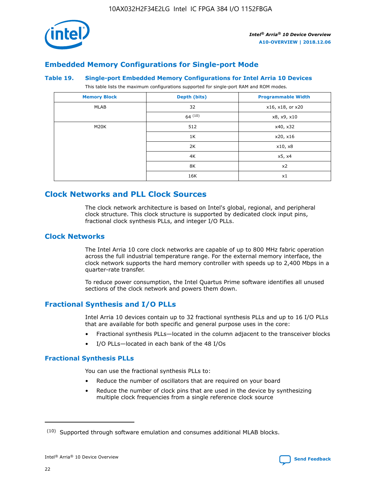

## **Embedded Memory Configurations for Single-port Mode**

#### **Table 19. Single-port Embedded Memory Configurations for Intel Arria 10 Devices**

This table lists the maximum configurations supported for single-port RAM and ROM modes.

| <b>Memory Block</b> | Depth (bits) | <b>Programmable Width</b> |
|---------------------|--------------|---------------------------|
| MLAB                | 32           | x16, x18, or x20          |
|                     | 64(10)       | x8, x9, x10               |
| M20K                | 512          | x40, x32                  |
|                     | 1K           | x20, x16                  |
|                     | 2K           | x10, x8                   |
|                     | 4K           | x5, x4                    |
|                     | 8K           | x2                        |
|                     | 16K          | x1                        |

## **Clock Networks and PLL Clock Sources**

The clock network architecture is based on Intel's global, regional, and peripheral clock structure. This clock structure is supported by dedicated clock input pins, fractional clock synthesis PLLs, and integer I/O PLLs.

## **Clock Networks**

The Intel Arria 10 core clock networks are capable of up to 800 MHz fabric operation across the full industrial temperature range. For the external memory interface, the clock network supports the hard memory controller with speeds up to 2,400 Mbps in a quarter-rate transfer.

To reduce power consumption, the Intel Quartus Prime software identifies all unused sections of the clock network and powers them down.

## **Fractional Synthesis and I/O PLLs**

Intel Arria 10 devices contain up to 32 fractional synthesis PLLs and up to 16 I/O PLLs that are available for both specific and general purpose uses in the core:

- Fractional synthesis PLLs—located in the column adjacent to the transceiver blocks
- I/O PLLs—located in each bank of the 48 I/Os

## **Fractional Synthesis PLLs**

You can use the fractional synthesis PLLs to:

- Reduce the number of oscillators that are required on your board
- Reduce the number of clock pins that are used in the device by synthesizing multiple clock frequencies from a single reference clock source

<sup>(10)</sup> Supported through software emulation and consumes additional MLAB blocks.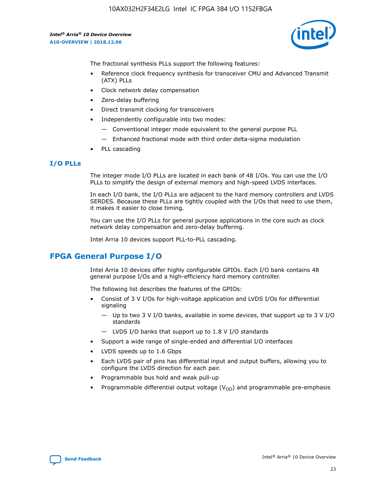

The fractional synthesis PLLs support the following features:

- Reference clock frequency synthesis for transceiver CMU and Advanced Transmit (ATX) PLLs
- Clock network delay compensation
- Zero-delay buffering
- Direct transmit clocking for transceivers
- Independently configurable into two modes:
	- Conventional integer mode equivalent to the general purpose PLL
	- Enhanced fractional mode with third order delta-sigma modulation
- PLL cascading

## **I/O PLLs**

The integer mode I/O PLLs are located in each bank of 48 I/Os. You can use the I/O PLLs to simplify the design of external memory and high-speed LVDS interfaces.

In each I/O bank, the I/O PLLs are adjacent to the hard memory controllers and LVDS SERDES. Because these PLLs are tightly coupled with the I/Os that need to use them, it makes it easier to close timing.

You can use the I/O PLLs for general purpose applications in the core such as clock network delay compensation and zero-delay buffering.

Intel Arria 10 devices support PLL-to-PLL cascading.

## **FPGA General Purpose I/O**

Intel Arria 10 devices offer highly configurable GPIOs. Each I/O bank contains 48 general purpose I/Os and a high-efficiency hard memory controller.

The following list describes the features of the GPIOs:

- Consist of 3 V I/Os for high-voltage application and LVDS I/Os for differential signaling
	- Up to two 3 V I/O banks, available in some devices, that support up to 3 V I/O standards
	- LVDS I/O banks that support up to 1.8 V I/O standards
- Support a wide range of single-ended and differential I/O interfaces
- LVDS speeds up to 1.6 Gbps
- Each LVDS pair of pins has differential input and output buffers, allowing you to configure the LVDS direction for each pair.
- Programmable bus hold and weak pull-up
- Programmable differential output voltage  $(V_{OD})$  and programmable pre-emphasis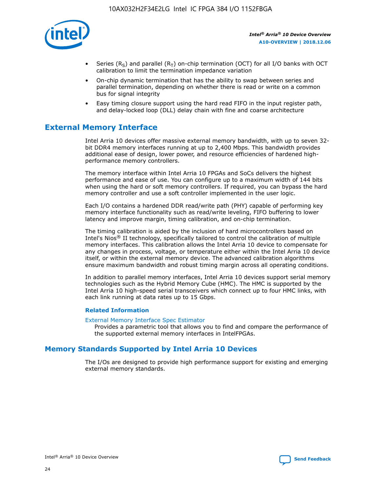

- Series (R<sub>S</sub>) and parallel (R<sub>T</sub>) on-chip termination (OCT) for all I/O banks with OCT calibration to limit the termination impedance variation
- On-chip dynamic termination that has the ability to swap between series and parallel termination, depending on whether there is read or write on a common bus for signal integrity
- Easy timing closure support using the hard read FIFO in the input register path, and delay-locked loop (DLL) delay chain with fine and coarse architecture

# **External Memory Interface**

Intel Arria 10 devices offer massive external memory bandwidth, with up to seven 32 bit DDR4 memory interfaces running at up to 2,400 Mbps. This bandwidth provides additional ease of design, lower power, and resource efficiencies of hardened highperformance memory controllers.

The memory interface within Intel Arria 10 FPGAs and SoCs delivers the highest performance and ease of use. You can configure up to a maximum width of 144 bits when using the hard or soft memory controllers. If required, you can bypass the hard memory controller and use a soft controller implemented in the user logic.

Each I/O contains a hardened DDR read/write path (PHY) capable of performing key memory interface functionality such as read/write leveling, FIFO buffering to lower latency and improve margin, timing calibration, and on-chip termination.

The timing calibration is aided by the inclusion of hard microcontrollers based on Intel's Nios® II technology, specifically tailored to control the calibration of multiple memory interfaces. This calibration allows the Intel Arria 10 device to compensate for any changes in process, voltage, or temperature either within the Intel Arria 10 device itself, or within the external memory device. The advanced calibration algorithms ensure maximum bandwidth and robust timing margin across all operating conditions.

In addition to parallel memory interfaces, Intel Arria 10 devices support serial memory technologies such as the Hybrid Memory Cube (HMC). The HMC is supported by the Intel Arria 10 high-speed serial transceivers which connect up to four HMC links, with each link running at data rates up to 15 Gbps.

## **Related Information**

#### [External Memory Interface Spec Estimator](http://www.altera.com/technology/memory/estimator/mem-emif-index.html)

Provides a parametric tool that allows you to find and compare the performance of the supported external memory interfaces in IntelFPGAs.

## **Memory Standards Supported by Intel Arria 10 Devices**

The I/Os are designed to provide high performance support for existing and emerging external memory standards.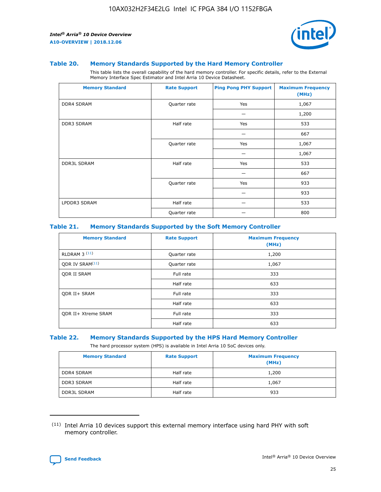

#### **Table 20. Memory Standards Supported by the Hard Memory Controller**

This table lists the overall capability of the hard memory controller. For specific details, refer to the External Memory Interface Spec Estimator and Intel Arria 10 Device Datasheet.

| <b>Memory Standard</b> | <b>Rate Support</b> | <b>Ping Pong PHY Support</b> | <b>Maximum Frequency</b><br>(MHz) |
|------------------------|---------------------|------------------------------|-----------------------------------|
| <b>DDR4 SDRAM</b>      | Quarter rate        | Yes                          | 1,067                             |
|                        |                     |                              | 1,200                             |
| DDR3 SDRAM             | Half rate           | Yes                          | 533                               |
|                        |                     |                              | 667                               |
|                        | Quarter rate        | Yes                          | 1,067                             |
|                        |                     |                              | 1,067                             |
| <b>DDR3L SDRAM</b>     | Half rate           | Yes                          | 533                               |
|                        |                     |                              | 667                               |
|                        | Quarter rate        | Yes                          | 933                               |
|                        |                     |                              | 933                               |
| LPDDR3 SDRAM           | Half rate           |                              | 533                               |
|                        | Quarter rate        |                              | 800                               |

## **Table 21. Memory Standards Supported by the Soft Memory Controller**

| <b>Memory Standard</b>      | <b>Rate Support</b> | <b>Maximum Frequency</b><br>(MHz) |
|-----------------------------|---------------------|-----------------------------------|
| <b>RLDRAM 3 (11)</b>        | Quarter rate        | 1,200                             |
| ODR IV SRAM <sup>(11)</sup> | Quarter rate        | 1,067                             |
| <b>ODR II SRAM</b>          | Full rate           | 333                               |
|                             | Half rate           | 633                               |
| <b>ODR II+ SRAM</b>         | Full rate           | 333                               |
|                             | Half rate           | 633                               |
| <b>ODR II+ Xtreme SRAM</b>  | Full rate           | 333                               |
|                             | Half rate           | 633                               |

#### **Table 22. Memory Standards Supported by the HPS Hard Memory Controller**

The hard processor system (HPS) is available in Intel Arria 10 SoC devices only.

| <b>Memory Standard</b> | <b>Rate Support</b> | <b>Maximum Frequency</b><br>(MHz) |
|------------------------|---------------------|-----------------------------------|
| <b>DDR4 SDRAM</b>      | Half rate           | 1,200                             |
| <b>DDR3 SDRAM</b>      | Half rate           | 1,067                             |
| <b>DDR3L SDRAM</b>     | Half rate           | 933                               |

<sup>(11)</sup> Intel Arria 10 devices support this external memory interface using hard PHY with soft memory controller.

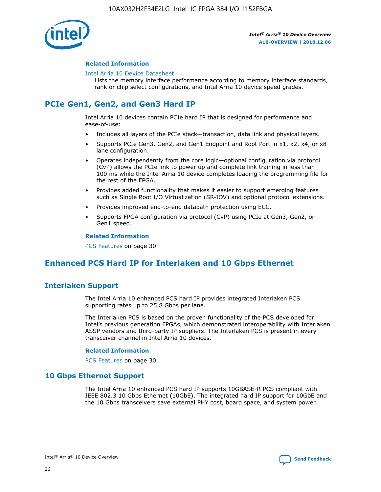

## **Related Information**

#### [Intel Arria 10 Device Datasheet](https://www.intel.com/content/www/us/en/programmable/documentation/mcn1413182292568.html#mcn1413182153340)

Lists the memory interface performance according to memory interface standards, rank or chip select configurations, and Intel Arria 10 device speed grades.

# **PCIe Gen1, Gen2, and Gen3 Hard IP**

Intel Arria 10 devices contain PCIe hard IP that is designed for performance and ease-of-use:

- Includes all layers of the PCIe stack—transaction, data link and physical layers.
- Supports PCIe Gen3, Gen2, and Gen1 Endpoint and Root Port in x1, x2, x4, or x8 lane configuration.
- Operates independently from the core logic—optional configuration via protocol (CvP) allows the PCIe link to power up and complete link training in less than 100 ms while the Intel Arria 10 device completes loading the programming file for the rest of the FPGA.
- Provides added functionality that makes it easier to support emerging features such as Single Root I/O Virtualization (SR-IOV) and optional protocol extensions.
- Provides improved end-to-end datapath protection using ECC.
- Supports FPGA configuration via protocol (CvP) using PCIe at Gen3, Gen2, or Gen1 speed.

#### **Related Information**

PCS Features on page 30

# **Enhanced PCS Hard IP for Interlaken and 10 Gbps Ethernet**

## **Interlaken Support**

The Intel Arria 10 enhanced PCS hard IP provides integrated Interlaken PCS supporting rates up to 25.8 Gbps per lane.

The Interlaken PCS is based on the proven functionality of the PCS developed for Intel's previous generation FPGAs, which demonstrated interoperability with Interlaken ASSP vendors and third-party IP suppliers. The Interlaken PCS is present in every transceiver channel in Intel Arria 10 devices.

## **Related Information**

PCS Features on page 30

## **10 Gbps Ethernet Support**

The Intel Arria 10 enhanced PCS hard IP supports 10GBASE-R PCS compliant with IEEE 802.3 10 Gbps Ethernet (10GbE). The integrated hard IP support for 10GbE and the 10 Gbps transceivers save external PHY cost, board space, and system power.

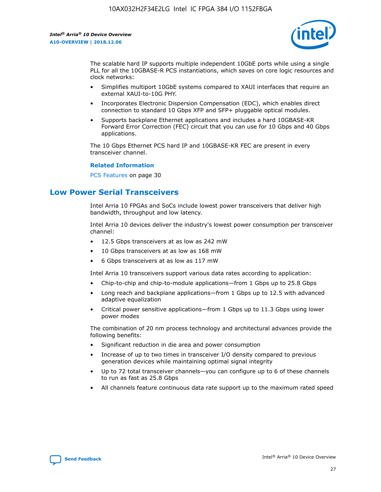

The scalable hard IP supports multiple independent 10GbE ports while using a single PLL for all the 10GBASE-R PCS instantiations, which saves on core logic resources and clock networks:

- Simplifies multiport 10GbE systems compared to XAUI interfaces that require an external XAUI-to-10G PHY.
- Incorporates Electronic Dispersion Compensation (EDC), which enables direct connection to standard 10 Gbps XFP and SFP+ pluggable optical modules.
- Supports backplane Ethernet applications and includes a hard 10GBASE-KR Forward Error Correction (FEC) circuit that you can use for 10 Gbps and 40 Gbps applications.

The 10 Gbps Ethernet PCS hard IP and 10GBASE-KR FEC are present in every transceiver channel.

## **Related Information**

PCS Features on page 30

# **Low Power Serial Transceivers**

Intel Arria 10 FPGAs and SoCs include lowest power transceivers that deliver high bandwidth, throughput and low latency.

Intel Arria 10 devices deliver the industry's lowest power consumption per transceiver channel:

- 12.5 Gbps transceivers at as low as 242 mW
- 10 Gbps transceivers at as low as 168 mW
- 6 Gbps transceivers at as low as 117 mW

Intel Arria 10 transceivers support various data rates according to application:

- Chip-to-chip and chip-to-module applications—from 1 Gbps up to 25.8 Gbps
- Long reach and backplane applications—from 1 Gbps up to 12.5 with advanced adaptive equalization
- Critical power sensitive applications—from 1 Gbps up to 11.3 Gbps using lower power modes

The combination of 20 nm process technology and architectural advances provide the following benefits:

- Significant reduction in die area and power consumption
- Increase of up to two times in transceiver I/O density compared to previous generation devices while maintaining optimal signal integrity
- Up to 72 total transceiver channels—you can configure up to 6 of these channels to run as fast as 25.8 Gbps
- All channels feature continuous data rate support up to the maximum rated speed

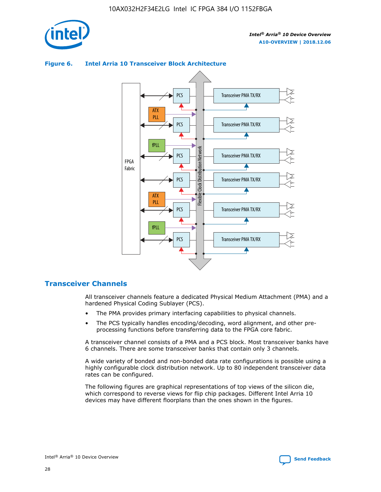

# **Figure 6. Intel Arria 10 Transceiver Block Architecture**



## **Transceiver Channels**

All transceiver channels feature a dedicated Physical Medium Attachment (PMA) and a hardened Physical Coding Sublayer (PCS).

- The PMA provides primary interfacing capabilities to physical channels.
- The PCS typically handles encoding/decoding, word alignment, and other preprocessing functions before transferring data to the FPGA core fabric.

A transceiver channel consists of a PMA and a PCS block. Most transceiver banks have 6 channels. There are some transceiver banks that contain only 3 channels.

A wide variety of bonded and non-bonded data rate configurations is possible using a highly configurable clock distribution network. Up to 80 independent transceiver data rates can be configured.

The following figures are graphical representations of top views of the silicon die, which correspond to reverse views for flip chip packages. Different Intel Arria 10 devices may have different floorplans than the ones shown in the figures.

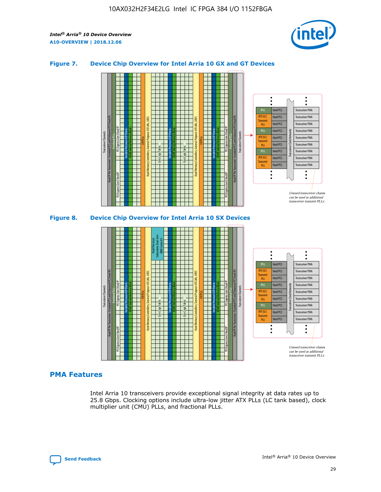

## **Figure 7. Device Chip Overview for Intel Arria 10 GX and GT Devices**



## **PMA Features**

Intel Arria 10 transceivers provide exceptional signal integrity at data rates up to 25.8 Gbps. Clocking options include ultra-low jitter ATX PLLs (LC tank based), clock multiplier unit (CMU) PLLs, and fractional PLLs.

Hard PCS Hard PCS Hard PCS Hard PCS Hard PCS

ATX (LC) Transmi PLL fPLL ATX (LC) **Transmit** PLL

Transceiver PMA Transceiver PMA Transceiver PMA

Transceiver PMA Transceiver PMA

Unused transceiver chann can be used as additional transceiver transmit PLLs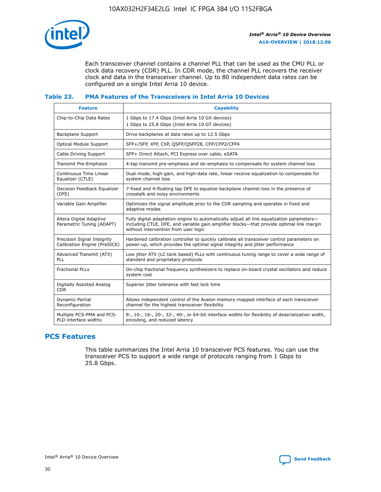

Each transceiver channel contains a channel PLL that can be used as the CMU PLL or clock data recovery (CDR) PLL. In CDR mode, the channel PLL recovers the receiver clock and data in the transceiver channel. Up to 80 independent data rates can be configured on a single Intel Arria 10 device.

## **Table 23. PMA Features of the Transceivers in Intel Arria 10 Devices**

| <b>Feature</b>                                             | <b>Capability</b>                                                                                                                                                                                                             |
|------------------------------------------------------------|-------------------------------------------------------------------------------------------------------------------------------------------------------------------------------------------------------------------------------|
| Chip-to-Chip Data Rates                                    | 1 Gbps to 17.4 Gbps (Intel Arria 10 GX devices)<br>1 Gbps to 25.8 Gbps (Intel Arria 10 GT devices)                                                                                                                            |
| <b>Backplane Support</b>                                   | Drive backplanes at data rates up to 12.5 Gbps                                                                                                                                                                                |
| <b>Optical Module Support</b>                              | SFP+/SFP, XFP, CXP, QSFP/QSFP28, CFP/CFP2/CFP4                                                                                                                                                                                |
| Cable Driving Support                                      | SFP+ Direct Attach, PCI Express over cable, eSATA                                                                                                                                                                             |
| Transmit Pre-Emphasis                                      | 4-tap transmit pre-emphasis and de-emphasis to compensate for system channel loss                                                                                                                                             |
| Continuous Time Linear<br>Equalizer (CTLE)                 | Dual mode, high-gain, and high-data rate, linear receive equalization to compensate for<br>system channel loss                                                                                                                |
| Decision Feedback Equalizer<br>(DFE)                       | 7-fixed and 4-floating tap DFE to equalize backplane channel loss in the presence of<br>crosstalk and noisy environments                                                                                                      |
| Variable Gain Amplifier                                    | Optimizes the signal amplitude prior to the CDR sampling and operates in fixed and<br>adaptive modes                                                                                                                          |
| Altera Digital Adaptive<br>Parametric Tuning (ADAPT)       | Fully digital adaptation engine to automatically adjust all link equalization parameters-<br>including CTLE, DFE, and variable gain amplifier blocks—that provide optimal link margin<br>without intervention from user logic |
| Precision Signal Integrity<br>Calibration Engine (PreSICE) | Hardened calibration controller to quickly calibrate all transceiver control parameters on<br>power-up, which provides the optimal signal integrity and jitter performance                                                    |
| Advanced Transmit (ATX)<br>PLL                             | Low jitter ATX (LC tank based) PLLs with continuous tuning range to cover a wide range of<br>standard and proprietary protocols                                                                                               |
| <b>Fractional PLLs</b>                                     | On-chip fractional frequency synthesizers to replace on-board crystal oscillators and reduce<br>system cost                                                                                                                   |
| Digitally Assisted Analog<br><b>CDR</b>                    | Superior jitter tolerance with fast lock time                                                                                                                                                                                 |
| Dynamic Partial<br>Reconfiguration                         | Allows independent control of the Avalon memory-mapped interface of each transceiver<br>channel for the highest transceiver flexibility                                                                                       |
| Multiple PCS-PMA and PCS-<br>PLD interface widths          | 8-, 10-, 16-, 20-, 32-, 40-, or 64-bit interface widths for flexibility of deserialization width,<br>encoding, and reduced latency                                                                                            |

## **PCS Features**

This table summarizes the Intel Arria 10 transceiver PCS features. You can use the transceiver PCS to support a wide range of protocols ranging from 1 Gbps to 25.8 Gbps.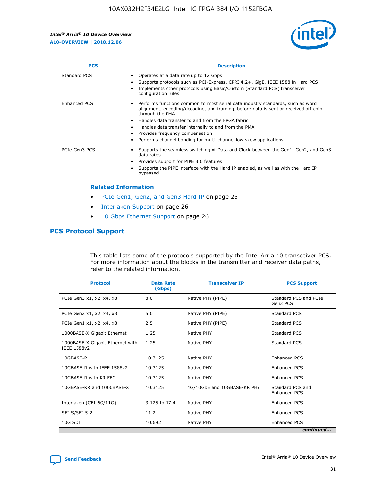

| <b>PCS</b>          | <b>Description</b>                                                                                                                                                                                                                                                                                                                                                                                             |
|---------------------|----------------------------------------------------------------------------------------------------------------------------------------------------------------------------------------------------------------------------------------------------------------------------------------------------------------------------------------------------------------------------------------------------------------|
| Standard PCS        | Operates at a data rate up to 12 Gbps<br>Supports protocols such as PCI-Express, CPRI 4.2+, GigE, IEEE 1588 in Hard PCS<br>Implements other protocols using Basic/Custom (Standard PCS) transceiver<br>configuration rules.                                                                                                                                                                                    |
| <b>Enhanced PCS</b> | Performs functions common to most serial data industry standards, such as word<br>alignment, encoding/decoding, and framing, before data is sent or received off-chip<br>through the PMA<br>• Handles data transfer to and from the FPGA fabric<br>Handles data transfer internally to and from the PMA<br>Provides frequency compensation<br>Performs channel bonding for multi-channel low skew applications |
| PCIe Gen3 PCS       | Supports the seamless switching of Data and Clock between the Gen1, Gen2, and Gen3<br>data rates<br>Provides support for PIPE 3.0 features<br>Supports the PIPE interface with the Hard IP enabled, as well as with the Hard IP<br>bypassed                                                                                                                                                                    |

#### **Related Information**

- PCIe Gen1, Gen2, and Gen3 Hard IP on page 26
- Interlaken Support on page 26
- 10 Gbps Ethernet Support on page 26

## **PCS Protocol Support**

This table lists some of the protocols supported by the Intel Arria 10 transceiver PCS. For more information about the blocks in the transmitter and receiver data paths, refer to the related information.

| <b>Protocol</b>                                 | <b>Data Rate</b><br>(Gbps) | <b>Transceiver IP</b>       | <b>PCS Support</b>                      |
|-------------------------------------------------|----------------------------|-----------------------------|-----------------------------------------|
| PCIe Gen3 x1, x2, x4, x8                        | 8.0                        | Native PHY (PIPE)           | Standard PCS and PCIe<br>Gen3 PCS       |
| PCIe Gen2 x1, x2, x4, x8                        | 5.0                        | Native PHY (PIPE)           | <b>Standard PCS</b>                     |
| PCIe Gen1 x1, x2, x4, x8                        | 2.5                        | Native PHY (PIPE)           | Standard PCS                            |
| 1000BASE-X Gigabit Ethernet                     | 1.25                       | Native PHY                  | <b>Standard PCS</b>                     |
| 1000BASE-X Gigabit Ethernet with<br>IEEE 1588v2 | 1.25                       | Native PHY                  | Standard PCS                            |
| 10GBASE-R                                       | 10.3125                    | Native PHY                  | <b>Enhanced PCS</b>                     |
| 10GBASE-R with IEEE 1588v2                      | 10.3125                    | Native PHY                  | <b>Enhanced PCS</b>                     |
| 10GBASE-R with KR FEC                           | 10.3125                    | Native PHY                  | <b>Enhanced PCS</b>                     |
| 10GBASE-KR and 1000BASE-X                       | 10.3125                    | 1G/10GbE and 10GBASE-KR PHY | Standard PCS and<br><b>Enhanced PCS</b> |
| Interlaken (CEI-6G/11G)                         | 3.125 to 17.4              | Native PHY                  | <b>Enhanced PCS</b>                     |
| SFI-S/SFI-5.2                                   | 11.2                       | Native PHY                  | <b>Enhanced PCS</b>                     |
| $10G$ SDI                                       | 10.692                     | Native PHY                  | <b>Enhanced PCS</b>                     |
|                                                 |                            |                             | continued                               |

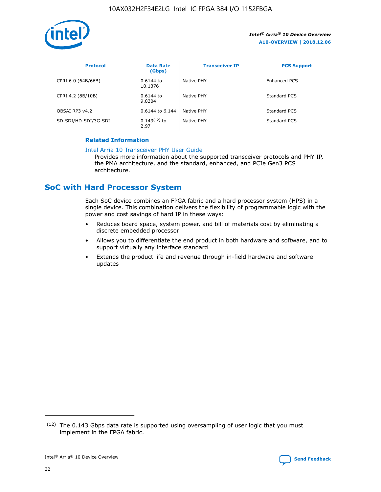

| <b>Protocol</b>      | <b>Data Rate</b><br>(Gbps) | <b>Transceiver IP</b> | <b>PCS Support</b>  |
|----------------------|----------------------------|-----------------------|---------------------|
| CPRI 6.0 (64B/66B)   | 0.6144 to<br>10.1376       | Native PHY            | <b>Enhanced PCS</b> |
| CPRI 4.2 (8B/10B)    | 0.6144 to<br>9.8304        | Native PHY            | Standard PCS        |
| OBSAI RP3 v4.2       | 0.6144 to 6.144            | Native PHY            | Standard PCS        |
| SD-SDI/HD-SDI/3G-SDI | $0.143(12)$ to<br>2.97     | Native PHY            | Standard PCS        |

## **Related Information**

#### [Intel Arria 10 Transceiver PHY User Guide](https://www.intel.com/content/www/us/en/programmable/documentation/nik1398707230472.html#nik1398707091164)

Provides more information about the supported transceiver protocols and PHY IP, the PMA architecture, and the standard, enhanced, and PCIe Gen3 PCS architecture.

# **SoC with Hard Processor System**

Each SoC device combines an FPGA fabric and a hard processor system (HPS) in a single device. This combination delivers the flexibility of programmable logic with the power and cost savings of hard IP in these ways:

- Reduces board space, system power, and bill of materials cost by eliminating a discrete embedded processor
- Allows you to differentiate the end product in both hardware and software, and to support virtually any interface standard
- Extends the product life and revenue through in-field hardware and software updates

 $(12)$  The 0.143 Gbps data rate is supported using oversampling of user logic that you must implement in the FPGA fabric.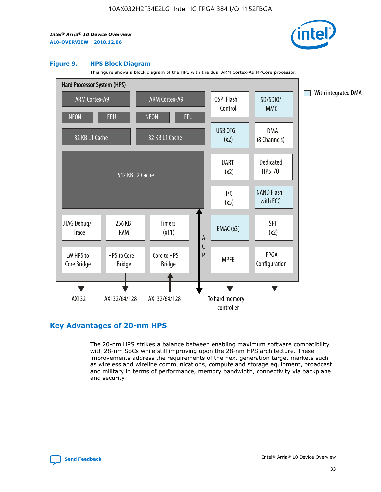

#### **Figure 9. HPS Block Diagram**

This figure shows a block diagram of the HPS with the dual ARM Cortex-A9 MPCore processor.



## **Key Advantages of 20-nm HPS**

The 20-nm HPS strikes a balance between enabling maximum software compatibility with 28-nm SoCs while still improving upon the 28-nm HPS architecture. These improvements address the requirements of the next generation target markets such as wireless and wireline communications, compute and storage equipment, broadcast and military in terms of performance, memory bandwidth, connectivity via backplane and security.

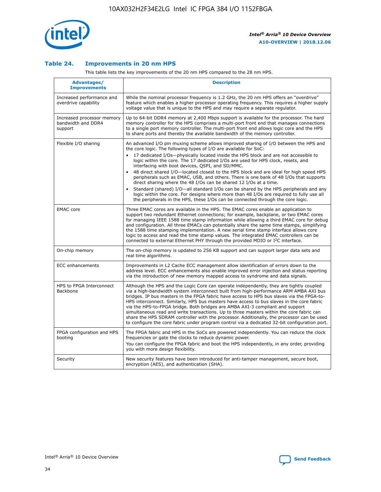

## **Table 24. Improvements in 20 nm HPS**

This table lists the key improvements of the 20 nm HPS compared to the 28 nm HPS.

| Advantages/<br><b>Improvements</b>                          | <b>Description</b>                                                                                                                                                                                                                                                                                                                                                                                                                                                                                                                                                                                                                                                                                                                                                                                                                                                                                                      |
|-------------------------------------------------------------|-------------------------------------------------------------------------------------------------------------------------------------------------------------------------------------------------------------------------------------------------------------------------------------------------------------------------------------------------------------------------------------------------------------------------------------------------------------------------------------------------------------------------------------------------------------------------------------------------------------------------------------------------------------------------------------------------------------------------------------------------------------------------------------------------------------------------------------------------------------------------------------------------------------------------|
| Increased performance and<br>overdrive capability           | While the nominal processor frequency is 1.2 GHz, the 20 nm HPS offers an "overdrive"<br>feature which enables a higher processor operating frequency. This requires a higher supply<br>voltage value that is unique to the HPS and may require a separate requlator.                                                                                                                                                                                                                                                                                                                                                                                                                                                                                                                                                                                                                                                   |
| Increased processor memory<br>bandwidth and DDR4<br>support | Up to 64-bit DDR4 memory at 2,400 Mbps support is available for the processor. The hard<br>memory controller for the HPS comprises a multi-port front end that manages connections<br>to a single port memory controller. The multi-port front end allows logic core and the HPS<br>to share ports and thereby the available bandwidth of the memory controller.                                                                                                                                                                                                                                                                                                                                                                                                                                                                                                                                                        |
| Flexible I/O sharing                                        | An advanced I/O pin muxing scheme allows improved sharing of I/O between the HPS and<br>the core logic. The following types of I/O are available for SoC:<br>17 dedicated I/Os-physically located inside the HPS block and are not accessible to<br>logic within the core. The 17 dedicated I/Os are used for HPS clock, resets, and<br>interfacing with boot devices, QSPI, and SD/MMC.<br>48 direct shared I/O-located closest to the HPS block and are ideal for high speed HPS<br>peripherals such as EMAC, USB, and others. There is one bank of 48 I/Os that supports<br>direct sharing where the 48 I/Os can be shared 12 I/Os at a time.<br>Standard (shared) I/O—all standard I/Os can be shared by the HPS peripherals and any<br>logic within the core. For designs where more than 48 I/Os are reguired to fully use all<br>the peripherals in the HPS, these I/Os can be connected through the core logic. |
| <b>EMAC</b> core                                            | Three EMAC cores are available in the HPS. The EMAC cores enable an application to<br>support two redundant Ethernet connections; for example, backplane, or two EMAC cores<br>for managing IEEE 1588 time stamp information while allowing a third EMAC core for debug<br>and configuration. All three EMACs can potentially share the same time stamps, simplifying<br>the 1588 time stamping implementation. A new serial time stamp interface allows core<br>logic to access and read the time stamp values. The integrated EMAC controllers can be<br>connected to external Ethernet PHY through the provided MDIO or I <sup>2</sup> C interface.                                                                                                                                                                                                                                                                  |
| On-chip memory                                              | The on-chip memory is updated to 256 KB support and can support larger data sets and<br>real time algorithms.                                                                                                                                                                                                                                                                                                                                                                                                                                                                                                                                                                                                                                                                                                                                                                                                           |
| ECC enhancements                                            | Improvements in L2 Cache ECC management allow identification of errors down to the<br>address level. ECC enhancements also enable improved error injection and status reporting<br>via the introduction of new memory mapped access to syndrome and data signals.                                                                                                                                                                                                                                                                                                                                                                                                                                                                                                                                                                                                                                                       |
| HPS to FPGA Interconnect<br><b>Backbone</b>                 | Although the HPS and the Logic Core can operate independently, they are tightly coupled<br>via a high-bandwidth system interconnect built from high-performance ARM AMBA AXI bus<br>bridges. IP bus masters in the FPGA fabric have access to HPS bus slaves via the FPGA-to-<br>HPS interconnect. Similarly, HPS bus masters have access to bus slaves in the core fabric<br>via the HPS-to-FPGA bridge. Both bridges are AMBA AXI-3 compliant and support<br>simultaneous read and write transactions. Up to three masters within the core fabric can<br>share the HPS SDRAM controller with the processor. Additionally, the processor can be used<br>to configure the core fabric under program control via a dedicated 32-bit configuration port.                                                                                                                                                                  |
| FPGA configuration and HPS<br>booting                       | The FPGA fabric and HPS in the SoCs are powered independently. You can reduce the clock<br>frequencies or gate the clocks to reduce dynamic power.<br>You can configure the FPGA fabric and boot the HPS independently, in any order, providing<br>you with more design flexibility.                                                                                                                                                                                                                                                                                                                                                                                                                                                                                                                                                                                                                                    |
| Security                                                    | New security features have been introduced for anti-tamper management, secure boot,<br>encryption (AES), and authentication (SHA).                                                                                                                                                                                                                                                                                                                                                                                                                                                                                                                                                                                                                                                                                                                                                                                      |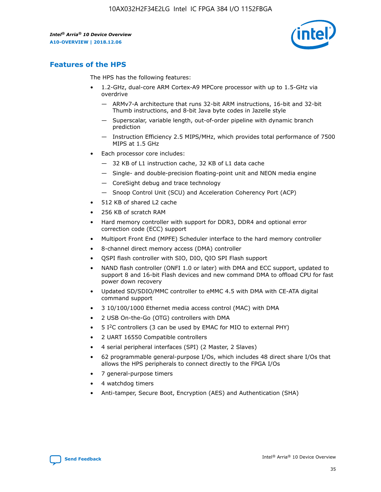

## **Features of the HPS**

The HPS has the following features:

- 1.2-GHz, dual-core ARM Cortex-A9 MPCore processor with up to 1.5-GHz via overdrive
	- ARMv7-A architecture that runs 32-bit ARM instructions, 16-bit and 32-bit Thumb instructions, and 8-bit Java byte codes in Jazelle style
	- Superscalar, variable length, out-of-order pipeline with dynamic branch prediction
	- Instruction Efficiency 2.5 MIPS/MHz, which provides total performance of 7500 MIPS at 1.5 GHz
- Each processor core includes:
	- 32 KB of L1 instruction cache, 32 KB of L1 data cache
	- Single- and double-precision floating-point unit and NEON media engine
	- CoreSight debug and trace technology
	- Snoop Control Unit (SCU) and Acceleration Coherency Port (ACP)
- 512 KB of shared L2 cache
- 256 KB of scratch RAM
- Hard memory controller with support for DDR3, DDR4 and optional error correction code (ECC) support
- Multiport Front End (MPFE) Scheduler interface to the hard memory controller
- 8-channel direct memory access (DMA) controller
- QSPI flash controller with SIO, DIO, QIO SPI Flash support
- NAND flash controller (ONFI 1.0 or later) with DMA and ECC support, updated to support 8 and 16-bit Flash devices and new command DMA to offload CPU for fast power down recovery
- Updated SD/SDIO/MMC controller to eMMC 4.5 with DMA with CE-ATA digital command support
- 3 10/100/1000 Ethernet media access control (MAC) with DMA
- 2 USB On-the-Go (OTG) controllers with DMA
- $\bullet$  5 I<sup>2</sup>C controllers (3 can be used by EMAC for MIO to external PHY)
- 2 UART 16550 Compatible controllers
- 4 serial peripheral interfaces (SPI) (2 Master, 2 Slaves)
- 62 programmable general-purpose I/Os, which includes 48 direct share I/Os that allows the HPS peripherals to connect directly to the FPGA I/Os
- 7 general-purpose timers
- 4 watchdog timers
- Anti-tamper, Secure Boot, Encryption (AES) and Authentication (SHA)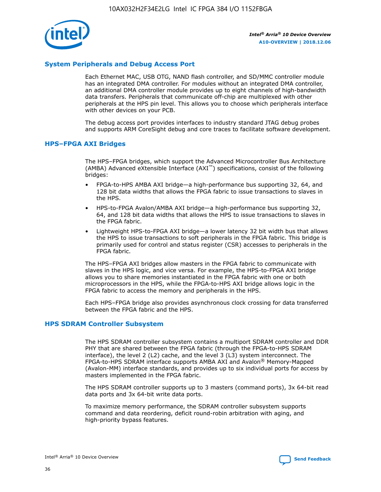

## **System Peripherals and Debug Access Port**

Each Ethernet MAC, USB OTG, NAND flash controller, and SD/MMC controller module has an integrated DMA controller. For modules without an integrated DMA controller, an additional DMA controller module provides up to eight channels of high-bandwidth data transfers. Peripherals that communicate off-chip are multiplexed with other peripherals at the HPS pin level. This allows you to choose which peripherals interface with other devices on your PCB.

The debug access port provides interfaces to industry standard JTAG debug probes and supports ARM CoreSight debug and core traces to facilitate software development.

## **HPS–FPGA AXI Bridges**

The HPS–FPGA bridges, which support the Advanced Microcontroller Bus Architecture (AMBA) Advanced eXtensible Interface (AXI™) specifications, consist of the following bridges:

- FPGA-to-HPS AMBA AXI bridge—a high-performance bus supporting 32, 64, and 128 bit data widths that allows the FPGA fabric to issue transactions to slaves in the HPS.
- HPS-to-FPGA Avalon/AMBA AXI bridge—a high-performance bus supporting 32, 64, and 128 bit data widths that allows the HPS to issue transactions to slaves in the FPGA fabric.
- Lightweight HPS-to-FPGA AXI bridge—a lower latency 32 bit width bus that allows the HPS to issue transactions to soft peripherals in the FPGA fabric. This bridge is primarily used for control and status register (CSR) accesses to peripherals in the FPGA fabric.

The HPS–FPGA AXI bridges allow masters in the FPGA fabric to communicate with slaves in the HPS logic, and vice versa. For example, the HPS-to-FPGA AXI bridge allows you to share memories instantiated in the FPGA fabric with one or both microprocessors in the HPS, while the FPGA-to-HPS AXI bridge allows logic in the FPGA fabric to access the memory and peripherals in the HPS.

Each HPS–FPGA bridge also provides asynchronous clock crossing for data transferred between the FPGA fabric and the HPS.

## **HPS SDRAM Controller Subsystem**

The HPS SDRAM controller subsystem contains a multiport SDRAM controller and DDR PHY that are shared between the FPGA fabric (through the FPGA-to-HPS SDRAM interface), the level 2 (L2) cache, and the level 3 (L3) system interconnect. The FPGA-to-HPS SDRAM interface supports AMBA AXI and Avalon® Memory-Mapped (Avalon-MM) interface standards, and provides up to six individual ports for access by masters implemented in the FPGA fabric.

The HPS SDRAM controller supports up to 3 masters (command ports), 3x 64-bit read data ports and 3x 64-bit write data ports.

To maximize memory performance, the SDRAM controller subsystem supports command and data reordering, deficit round-robin arbitration with aging, and high-priority bypass features.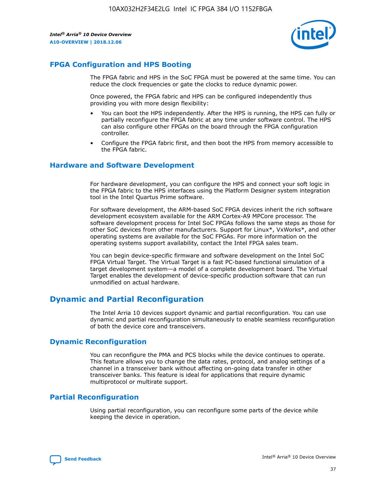

## **FPGA Configuration and HPS Booting**

The FPGA fabric and HPS in the SoC FPGA must be powered at the same time. You can reduce the clock frequencies or gate the clocks to reduce dynamic power.

Once powered, the FPGA fabric and HPS can be configured independently thus providing you with more design flexibility:

- You can boot the HPS independently. After the HPS is running, the HPS can fully or partially reconfigure the FPGA fabric at any time under software control. The HPS can also configure other FPGAs on the board through the FPGA configuration controller.
- Configure the FPGA fabric first, and then boot the HPS from memory accessible to the FPGA fabric.

## **Hardware and Software Development**

For hardware development, you can configure the HPS and connect your soft logic in the FPGA fabric to the HPS interfaces using the Platform Designer system integration tool in the Intel Quartus Prime software.

For software development, the ARM-based SoC FPGA devices inherit the rich software development ecosystem available for the ARM Cortex-A9 MPCore processor. The software development process for Intel SoC FPGAs follows the same steps as those for other SoC devices from other manufacturers. Support for Linux\*, VxWorks\*, and other operating systems are available for the SoC FPGAs. For more information on the operating systems support availability, contact the Intel FPGA sales team.

You can begin device-specific firmware and software development on the Intel SoC FPGA Virtual Target. The Virtual Target is a fast PC-based functional simulation of a target development system—a model of a complete development board. The Virtual Target enables the development of device-specific production software that can run unmodified on actual hardware.

## **Dynamic and Partial Reconfiguration**

The Intel Arria 10 devices support dynamic and partial reconfiguration. You can use dynamic and partial reconfiguration simultaneously to enable seamless reconfiguration of both the device core and transceivers.

## **Dynamic Reconfiguration**

You can reconfigure the PMA and PCS blocks while the device continues to operate. This feature allows you to change the data rates, protocol, and analog settings of a channel in a transceiver bank without affecting on-going data transfer in other transceiver banks. This feature is ideal for applications that require dynamic multiprotocol or multirate support.

## **Partial Reconfiguration**

Using partial reconfiguration, you can reconfigure some parts of the device while keeping the device in operation.

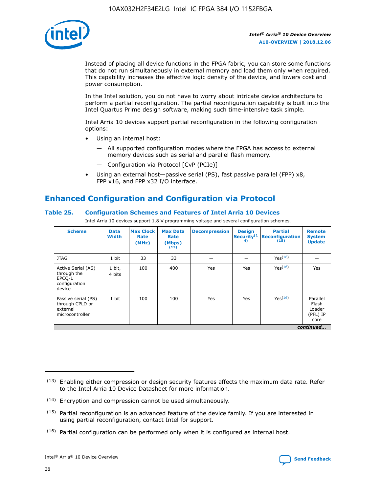

Instead of placing all device functions in the FPGA fabric, you can store some functions that do not run simultaneously in external memory and load them only when required. This capability increases the effective logic density of the device, and lowers cost and power consumption.

In the Intel solution, you do not have to worry about intricate device architecture to perform a partial reconfiguration. The partial reconfiguration capability is built into the Intel Quartus Prime design software, making such time-intensive task simple.

Intel Arria 10 devices support partial reconfiguration in the following configuration options:

- Using an internal host:
	- All supported configuration modes where the FPGA has access to external memory devices such as serial and parallel flash memory.
	- Configuration via Protocol [CvP (PCIe)]
- Using an external host—passive serial (PS), fast passive parallel (FPP) x8, FPP x16, and FPP x32 I/O interface.

# **Enhanced Configuration and Configuration via Protocol**

## **Table 25. Configuration Schemes and Features of Intel Arria 10 Devices**

Intel Arria 10 devices support 1.8 V programming voltage and several configuration schemes.

| <b>Scheme</b>                                                          | <b>Data</b><br><b>Width</b> | <b>Max Clock</b><br>Rate<br>(MHz) | <b>Max Data</b><br>Rate<br>(Mbps)<br>(13) | <b>Decompression</b> | <b>Design</b><br>Security <sup>(1</sup><br>4) | <b>Partial</b><br>Reconfiguration<br>(15) | <b>Remote</b><br><b>System</b><br><b>Update</b> |
|------------------------------------------------------------------------|-----------------------------|-----------------------------------|-------------------------------------------|----------------------|-----------------------------------------------|-------------------------------------------|-------------------------------------------------|
| <b>JTAG</b>                                                            | 1 bit                       | 33                                | 33                                        |                      |                                               | Yes <sup>(16)</sup>                       |                                                 |
| Active Serial (AS)<br>through the<br>EPCO-L<br>configuration<br>device | 1 bit,<br>4 bits            | 100                               | 400                                       | Yes                  | Yes                                           | $Y_{PS}(16)$                              | Yes                                             |
| Passive serial (PS)<br>through CPLD or<br>external<br>microcontroller  | 1 bit                       | 100                               | 100                                       | Yes                  | Yes                                           | Yes(16)                                   | Parallel<br>Flash<br>Loader<br>(PFL) IP<br>core |
|                                                                        |                             |                                   |                                           |                      |                                               |                                           | continued                                       |

<sup>(13)</sup> Enabling either compression or design security features affects the maximum data rate. Refer to the Intel Arria 10 Device Datasheet for more information.

<sup>(14)</sup> Encryption and compression cannot be used simultaneously.

 $(15)$  Partial reconfiguration is an advanced feature of the device family. If you are interested in using partial reconfiguration, contact Intel for support.

 $(16)$  Partial configuration can be performed only when it is configured as internal host.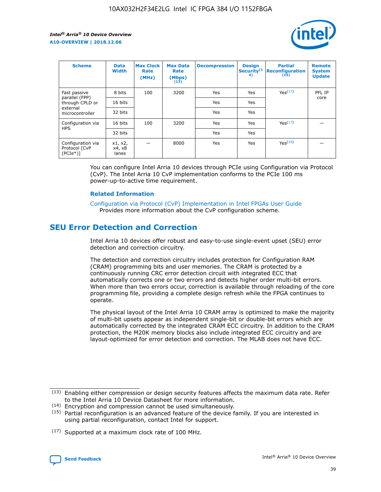

| <b>Scheme</b>                                   | <b>Data</b><br><b>Width</b> | <b>Max Clock</b><br>Rate<br>(MHz) | <b>Max Data</b><br>Rate<br>(Mbps)<br>(13) | <b>Decompression</b> | <b>Design</b><br>Security <sup>(1</sup><br>4) | <b>Partial</b><br><b>Reconfiguration</b><br>(15) | <b>Remote</b><br><b>System</b><br><b>Update</b> |
|-------------------------------------------------|-----------------------------|-----------------------------------|-------------------------------------------|----------------------|-----------------------------------------------|--------------------------------------------------|-------------------------------------------------|
| Fast passive                                    | 8 bits                      | 100                               | 3200                                      | Yes                  | Yes                                           | Yes(17)                                          | PFL IP                                          |
| parallel (FPP)<br>through CPLD or               | 16 bits                     |                                   |                                           | Yes                  | Yes                                           |                                                  | core                                            |
| external<br>microcontroller                     | 32 bits                     |                                   |                                           | Yes                  | Yes                                           |                                                  |                                                 |
| Configuration via                               | 16 bits                     | 100                               | 3200                                      | Yes                  | Yes                                           | Yes <sup>(17)</sup>                              |                                                 |
| <b>HPS</b>                                      | 32 bits                     |                                   |                                           | Yes                  | Yes                                           |                                                  |                                                 |
| Configuration via<br>Protocol [CvP<br>$(PCIe*)$ | x1, x2,<br>x4, x8<br>lanes  |                                   | 8000                                      | Yes                  | Yes                                           | Yes <sup>(16)</sup>                              |                                                 |

You can configure Intel Arria 10 devices through PCIe using Configuration via Protocol (CvP). The Intel Arria 10 CvP implementation conforms to the PCIe 100 ms power-up-to-active time requirement.

## **Related Information**

[Configuration via Protocol \(CvP\) Implementation in Intel FPGAs User Guide](https://www.intel.com/content/www/us/en/programmable/documentation/dsu1441819344145.html#dsu1442269728522) Provides more information about the CvP configuration scheme.

# **SEU Error Detection and Correction**

Intel Arria 10 devices offer robust and easy-to-use single-event upset (SEU) error detection and correction circuitry.

The detection and correction circuitry includes protection for Configuration RAM (CRAM) programming bits and user memories. The CRAM is protected by a continuously running CRC error detection circuit with integrated ECC that automatically corrects one or two errors and detects higher order multi-bit errors. When more than two errors occur, correction is available through reloading of the core programming file, providing a complete design refresh while the FPGA continues to operate.

The physical layout of the Intel Arria 10 CRAM array is optimized to make the majority of multi-bit upsets appear as independent single-bit or double-bit errors which are automatically corrected by the integrated CRAM ECC circuitry. In addition to the CRAM protection, the M20K memory blocks also include integrated ECC circuitry and are layout-optimized for error detection and correction. The MLAB does not have ECC.

(14) Encryption and compression cannot be used simultaneously.

<sup>(17)</sup> Supported at a maximum clock rate of 100 MHz.



 $(13)$  Enabling either compression or design security features affects the maximum data rate. Refer to the Intel Arria 10 Device Datasheet for more information.

 $(15)$  Partial reconfiguration is an advanced feature of the device family. If you are interested in using partial reconfiguration, contact Intel for support.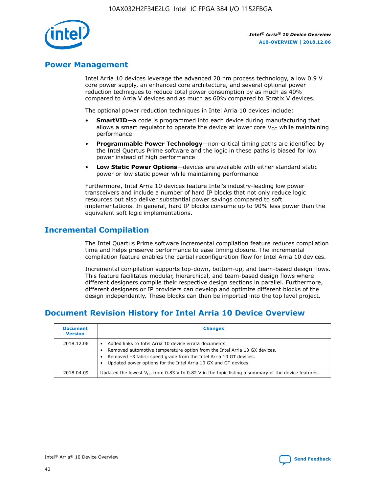

## **Power Management**

Intel Arria 10 devices leverage the advanced 20 nm process technology, a low 0.9 V core power supply, an enhanced core architecture, and several optional power reduction techniques to reduce total power consumption by as much as 40% compared to Arria V devices and as much as 60% compared to Stratix V devices.

The optional power reduction techniques in Intel Arria 10 devices include:

- **SmartVID**—a code is programmed into each device during manufacturing that allows a smart regulator to operate the device at lower core  $V_{CC}$  while maintaining performance
- **Programmable Power Technology**—non-critical timing paths are identified by the Intel Quartus Prime software and the logic in these paths is biased for low power instead of high performance
- **Low Static Power Options**—devices are available with either standard static power or low static power while maintaining performance

Furthermore, Intel Arria 10 devices feature Intel's industry-leading low power transceivers and include a number of hard IP blocks that not only reduce logic resources but also deliver substantial power savings compared to soft implementations. In general, hard IP blocks consume up to 90% less power than the equivalent soft logic implementations.

# **Incremental Compilation**

The Intel Quartus Prime software incremental compilation feature reduces compilation time and helps preserve performance to ease timing closure. The incremental compilation feature enables the partial reconfiguration flow for Intel Arria 10 devices.

Incremental compilation supports top-down, bottom-up, and team-based design flows. This feature facilitates modular, hierarchical, and team-based design flows where different designers compile their respective design sections in parallel. Furthermore, different designers or IP providers can develop and optimize different blocks of the design independently. These blocks can then be imported into the top level project.

# **Document Revision History for Intel Arria 10 Device Overview**

| <b>Document</b><br><b>Version</b> | <b>Changes</b>                                                                                                                                                                                                                                                              |
|-----------------------------------|-----------------------------------------------------------------------------------------------------------------------------------------------------------------------------------------------------------------------------------------------------------------------------|
| 2018.12.06                        | Added links to Intel Arria 10 device errata documents.<br>Removed automotive temperature option from the Intel Arria 10 GX devices.<br>Removed -3 fabric speed grade from the Intel Arria 10 GT devices.<br>Updated power options for the Intel Arria 10 GX and GT devices. |
| 2018.04.09                        | Updated the lowest $V_{CC}$ from 0.83 V to 0.82 V in the topic listing a summary of the device features.                                                                                                                                                                    |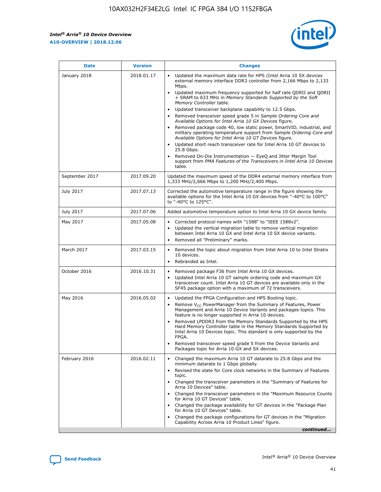

| <b>Date</b>    | <b>Version</b> | <b>Changes</b>                                                                                                                                                                                                                                                                                                                                                                                                                                                                                                                                                                                                                                                                                                                                                                                                                                                                                                                                               |
|----------------|----------------|--------------------------------------------------------------------------------------------------------------------------------------------------------------------------------------------------------------------------------------------------------------------------------------------------------------------------------------------------------------------------------------------------------------------------------------------------------------------------------------------------------------------------------------------------------------------------------------------------------------------------------------------------------------------------------------------------------------------------------------------------------------------------------------------------------------------------------------------------------------------------------------------------------------------------------------------------------------|
| January 2018   | 2018.01.17     | Updated the maximum data rate for HPS (Intel Arria 10 SX devices<br>external memory interface DDR3 controller from 2,166 Mbps to 2,133<br>Mbps.<br>Updated maximum frequency supported for half rate QDRII and QDRII<br>+ SRAM to 633 MHz in Memory Standards Supported by the Soft<br>Memory Controller table.<br>Updated transceiver backplane capability to 12.5 Gbps.<br>Removed transceiver speed grade 5 in Sample Ordering Core and<br>Available Options for Intel Arria 10 GX Devices figure.<br>Removed package code 40, low static power, SmartVID, industrial, and<br>military operating temperature support from Sample Ordering Core and<br>Available Options for Intel Arria 10 GT Devices figure.<br>Updated short reach transceiver rate for Intel Arria 10 GT devices to<br>25.8 Gbps.<br>Removed On-Die Instrumentation - EyeQ and Jitter Margin Tool<br>support from PMA Features of the Transceivers in Intel Arria 10 Devices<br>table. |
| September 2017 | 2017.09.20     | Updated the maximum speed of the DDR4 external memory interface from<br>1,333 MHz/2,666 Mbps to 1,200 MHz/2,400 Mbps.                                                                                                                                                                                                                                                                                                                                                                                                                                                                                                                                                                                                                                                                                                                                                                                                                                        |
| July 2017      | 2017.07.13     | Corrected the automotive temperature range in the figure showing the<br>available options for the Intel Arria 10 GX devices from "-40°C to 100°C"<br>to "-40°C to 125°C".                                                                                                                                                                                                                                                                                                                                                                                                                                                                                                                                                                                                                                                                                                                                                                                    |
| July 2017      | 2017.07.06     | Added automotive temperature option to Intel Arria 10 GX device family.                                                                                                                                                                                                                                                                                                                                                                                                                                                                                                                                                                                                                                                                                                                                                                                                                                                                                      |
| May 2017       | 2017.05.08     | Corrected protocol names with "1588" to "IEEE 1588v2".<br>$\bullet$<br>Updated the vertical migration table to remove vertical migration<br>$\bullet$<br>between Intel Arria 10 GX and Intel Arria 10 SX device variants.<br>Removed all "Preliminary" marks.<br>$\bullet$                                                                                                                                                                                                                                                                                                                                                                                                                                                                                                                                                                                                                                                                                   |
| March 2017     | 2017.03.15     | Removed the topic about migration from Intel Arria 10 to Intel Stratix<br>$\bullet$<br>10 devices.<br>Rebranded as Intel.<br>$\bullet$                                                                                                                                                                                                                                                                                                                                                                                                                                                                                                                                                                                                                                                                                                                                                                                                                       |
| October 2016   | 2016.10.31     | Removed package F36 from Intel Arria 10 GX devices.<br>Updated Intel Arria 10 GT sample ordering code and maximum GX<br>$\bullet$<br>transceiver count. Intel Arria 10 GT devices are available only in the<br>SF45 package option with a maximum of 72 transceivers.                                                                                                                                                                                                                                                                                                                                                                                                                                                                                                                                                                                                                                                                                        |
| May 2016       | 2016.05.02     | Updated the FPGA Configuration and HPS Booting topic.<br>$\bullet$<br>Remove V <sub>CC</sub> PowerManager from the Summary of Features, Power<br>Management and Arria 10 Device Variants and packages topics. This<br>feature is no longer supported in Arria 10 devices.<br>Removed LPDDR3 from the Memory Standards Supported by the HPS<br>Hard Memory Controller table in the Memory Standards Supported by<br>Intel Arria 10 Devices topic. This standard is only supported by the<br><b>FPGA</b><br>Removed transceiver speed grade 5 from the Device Variants and<br>Packages topic for Arria 10 GX and SX devices.                                                                                                                                                                                                                                                                                                                                   |
| February 2016  | 2016.02.11     | Changed the maximum Arria 10 GT datarate to 25.8 Gbps and the<br>$\bullet$<br>minimum datarate to 1 Gbps globally.<br>Revised the state for Core clock networks in the Summary of Features<br>$\bullet$<br>topic.<br>Changed the transceiver parameters in the "Summary of Features for<br>$\bullet$<br>Arria 10 Devices" table.<br>Changed the transceiver parameters in the "Maximum Resource Counts<br>for Arria 10 GT Devices" table.<br>Changed the package availability for GT devices in the "Package Plan<br>for Arria 10 GT Devices" table.<br>Changed the package configurations for GT devices in the "Migration"<br>Capability Across Arria 10 Product Lines" figure.<br>continued                                                                                                                                                                                                                                                               |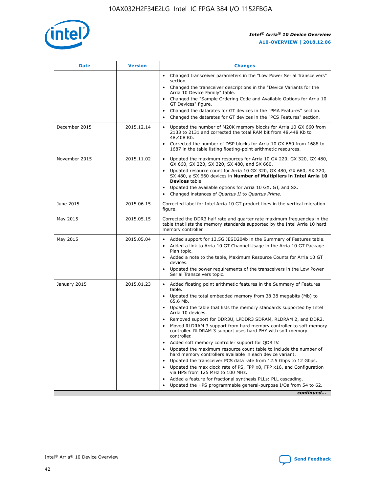

| <b>Date</b>   | <b>Version</b> | <b>Changes</b>                                                                                                                                                               |
|---------------|----------------|------------------------------------------------------------------------------------------------------------------------------------------------------------------------------|
|               |                | • Changed transceiver parameters in the "Low Power Serial Transceivers"<br>section.                                                                                          |
|               |                | • Changed the transceiver descriptions in the "Device Variants for the<br>Arria 10 Device Family" table.                                                                     |
|               |                | Changed the "Sample Ordering Code and Available Options for Arria 10<br>$\bullet$<br>GT Devices" figure.                                                                     |
|               |                | Changed the datarates for GT devices in the "PMA Features" section.                                                                                                          |
|               |                | Changed the datarates for GT devices in the "PCS Features" section.<br>$\bullet$                                                                                             |
| December 2015 | 2015.12.14     | Updated the number of M20K memory blocks for Arria 10 GX 660 from<br>2133 to 2131 and corrected the total RAM bit from 48,448 Kb to<br>48,408 Kb.                            |
|               |                | Corrected the number of DSP blocks for Arria 10 GX 660 from 1688 to<br>1687 in the table listing floating-point arithmetic resources.                                        |
| November 2015 | 2015.11.02     | Updated the maximum resources for Arria 10 GX 220, GX 320, GX 480,<br>$\bullet$<br>GX 660, SX 220, SX 320, SX 480, and SX 660.                                               |
|               |                | • Updated resource count for Arria 10 GX 320, GX 480, GX 660, SX 320,<br>SX 480, a SX 660 devices in Number of Multipliers in Intel Arria 10<br><b>Devices</b> table.        |
|               |                | Updated the available options for Arria 10 GX, GT, and SX.                                                                                                                   |
|               |                | Changed instances of Quartus II to Quartus Prime.<br>$\bullet$                                                                                                               |
| June 2015     | 2015.06.15     | Corrected label for Intel Arria 10 GT product lines in the vertical migration<br>figure.                                                                                     |
| May 2015      | 2015.05.15     | Corrected the DDR3 half rate and quarter rate maximum frequencies in the<br>table that lists the memory standards supported by the Intel Arria 10 hard<br>memory controller. |
| May 2015      | 2015.05.04     | • Added support for 13.5G JESD204b in the Summary of Features table.                                                                                                         |
|               |                | • Added a link to Arria 10 GT Channel Usage in the Arria 10 GT Package<br>Plan topic.                                                                                        |
|               |                | • Added a note to the table, Maximum Resource Counts for Arria 10 GT<br>devices.                                                                                             |
|               |                | • Updated the power requirements of the transceivers in the Low Power<br>Serial Transceivers topic.                                                                          |
| January 2015  | 2015.01.23     | • Added floating point arithmetic features in the Summary of Features<br>table.                                                                                              |
|               |                | • Updated the total embedded memory from 38.38 megabits (Mb) to<br>65.6 Mb.                                                                                                  |
|               |                | • Updated the table that lists the memory standards supported by Intel<br>Arria 10 devices.                                                                                  |
|               |                | Removed support for DDR3U, LPDDR3 SDRAM, RLDRAM 2, and DDR2.                                                                                                                 |
|               |                | Moved RLDRAM 3 support from hard memory controller to soft memory<br>controller. RLDRAM 3 support uses hard PHY with soft memory<br>controller.                              |
|               |                | Added soft memory controller support for QDR IV.<br>٠                                                                                                                        |
|               |                | Updated the maximum resource count table to include the number of<br>hard memory controllers available in each device variant.                                               |
|               |                | Updated the transceiver PCS data rate from 12.5 Gbps to 12 Gbps.<br>$\bullet$                                                                                                |
|               |                | Updated the max clock rate of PS, FPP x8, FPP x16, and Configuration<br>via HPS from 125 MHz to 100 MHz.                                                                     |
|               |                | Added a feature for fractional synthesis PLLs: PLL cascading.                                                                                                                |
|               |                | Updated the HPS programmable general-purpose I/Os from 54 to 62.<br>$\bullet$                                                                                                |
|               |                | continued                                                                                                                                                                    |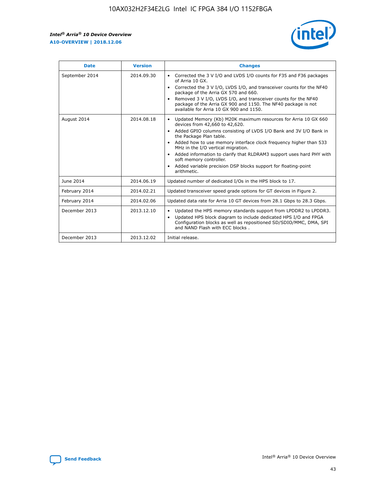r



| <b>Date</b>    | <b>Version</b> | <b>Changes</b>                                                                                                                                                                                                                                                                                                                                                                                                                                                                                                                                      |
|----------------|----------------|-----------------------------------------------------------------------------------------------------------------------------------------------------------------------------------------------------------------------------------------------------------------------------------------------------------------------------------------------------------------------------------------------------------------------------------------------------------------------------------------------------------------------------------------------------|
| September 2014 | 2014.09.30     | Corrected the 3 V I/O and LVDS I/O counts for F35 and F36 packages<br>$\bullet$<br>of Arria 10 GX.<br>Corrected the 3 V I/O, LVDS I/O, and transceiver counts for the NF40<br>$\bullet$<br>package of the Arria GX 570 and 660.<br>Removed 3 V I/O, LVDS I/O, and transceiver counts for the NF40<br>$\bullet$<br>package of the Arria GX 900 and 1150. The NF40 package is not<br>available for Arria 10 GX 900 and 1150.                                                                                                                          |
| August 2014    | 2014.08.18     | Updated Memory (Kb) M20K maximum resources for Arria 10 GX 660<br>devices from 42,660 to 42,620.<br>Added GPIO columns consisting of LVDS I/O Bank and 3V I/O Bank in<br>$\bullet$<br>the Package Plan table.<br>Added how to use memory interface clock frequency higher than 533<br>$\bullet$<br>MHz in the I/O vertical migration.<br>Added information to clarify that RLDRAM3 support uses hard PHY with<br>$\bullet$<br>soft memory controller.<br>Added variable precision DSP blocks support for floating-point<br>$\bullet$<br>arithmetic. |
| June 2014      | 2014.06.19     | Updated number of dedicated I/Os in the HPS block to 17.                                                                                                                                                                                                                                                                                                                                                                                                                                                                                            |
| February 2014  | 2014.02.21     | Updated transceiver speed grade options for GT devices in Figure 2.                                                                                                                                                                                                                                                                                                                                                                                                                                                                                 |
| February 2014  | 2014.02.06     | Updated data rate for Arria 10 GT devices from 28.1 Gbps to 28.3 Gbps.                                                                                                                                                                                                                                                                                                                                                                                                                                                                              |
| December 2013  | 2013.12.10     | Updated the HPS memory standards support from LPDDR2 to LPDDR3.<br>Updated HPS block diagram to include dedicated HPS I/O and FPGA<br>$\bullet$<br>Configuration blocks as well as repositioned SD/SDIO/MMC, DMA, SPI<br>and NAND Flash with ECC blocks.                                                                                                                                                                                                                                                                                            |
| December 2013  | 2013.12.02     | Initial release.                                                                                                                                                                                                                                                                                                                                                                                                                                                                                                                                    |